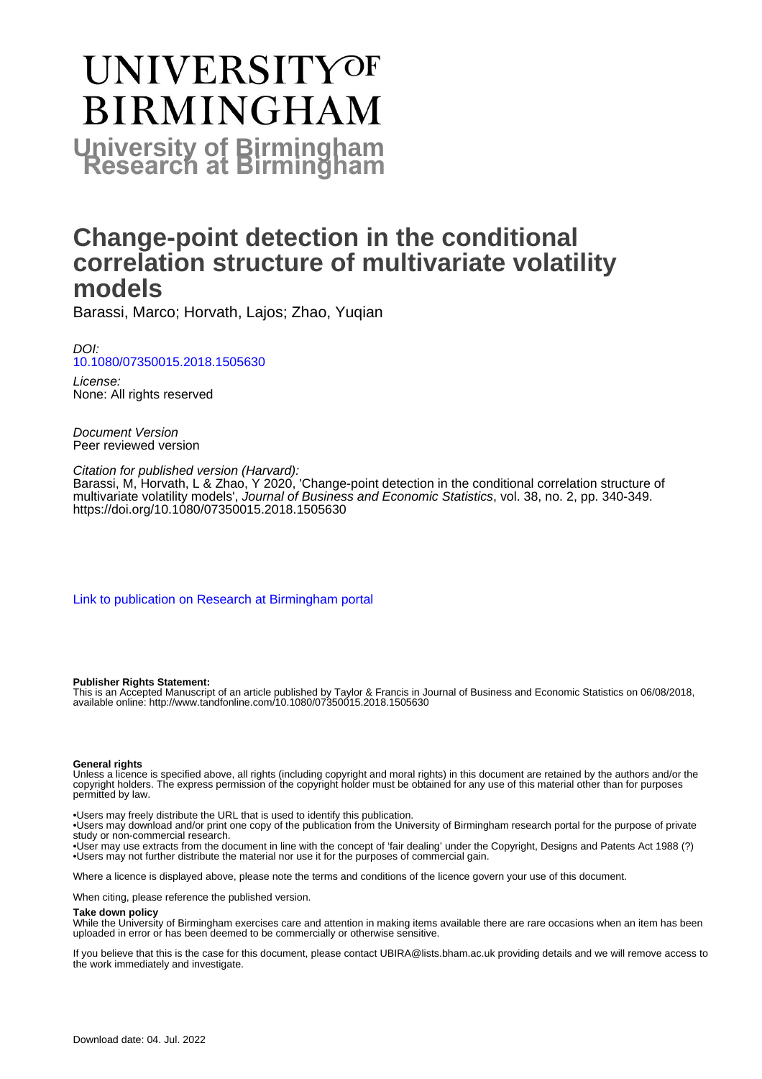# **UNIVERSITYOF BIRMINGHAM University of Birmingham**

## **Change-point detection in the conditional correlation structure of multivariate volatility models**

Barassi, Marco; Horvath, Lajos; Zhao, Yuqian

DOI: [10.1080/07350015.2018.1505630](https://doi.org/10.1080/07350015.2018.1505630)

License: None: All rights reserved

Document Version Peer reviewed version

Citation for published version (Harvard): Barassi, M, Horvath, L & Zhao, Y 2020, 'Change-point detection in the conditional correlation structure of multivariate volatility models', Journal of Business and Economic Statistics, vol. 38, no. 2, pp. 340-349. <https://doi.org/10.1080/07350015.2018.1505630>

[Link to publication on Research at Birmingham portal](https://birmingham.elsevierpure.com/en/publications/59a563ed-102c-4eec-8ec8-772cb759fcd0)

#### **Publisher Rights Statement:**

This is an Accepted Manuscript of an article published by Taylor & Francis in Journal of Business and Economic Statistics on 06/08/2018, available online: http://www.tandfonline.com/10.1080/07350015.2018.1505630

#### **General rights**

Unless a licence is specified above, all rights (including copyright and moral rights) in this document are retained by the authors and/or the copyright holders. The express permission of the copyright holder must be obtained for any use of this material other than for purposes permitted by law.

• Users may freely distribute the URL that is used to identify this publication.

• Users may download and/or print one copy of the publication from the University of Birmingham research portal for the purpose of private study or non-commercial research.

• User may use extracts from the document in line with the concept of 'fair dealing' under the Copyright, Designs and Patents Act 1988 (?) • Users may not further distribute the material nor use it for the purposes of commercial gain.

Where a licence is displayed above, please note the terms and conditions of the licence govern your use of this document.

When citing, please reference the published version.

#### **Take down policy**

While the University of Birmingham exercises care and attention in making items available there are rare occasions when an item has been uploaded in error or has been deemed to be commercially or otherwise sensitive.

If you believe that this is the case for this document, please contact UBIRA@lists.bham.ac.uk providing details and we will remove access to the work immediately and investigate.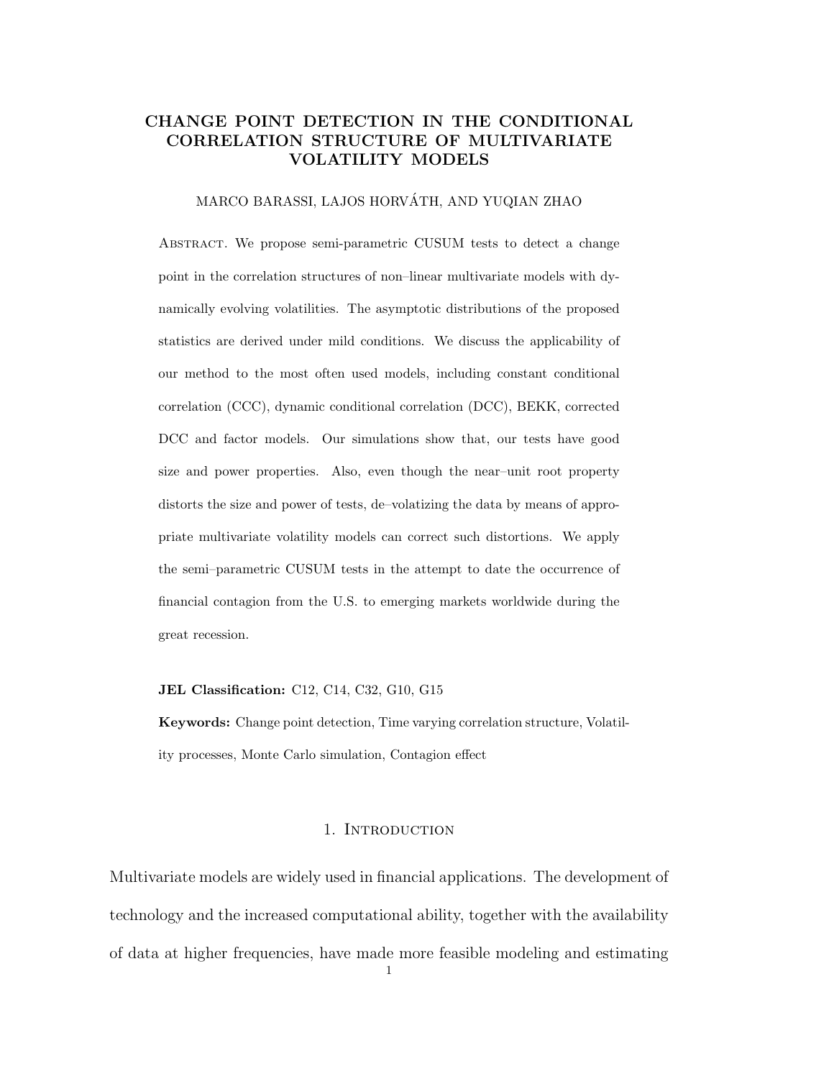### CHANGE POINT DETECTION IN THE CONDITIONAL CORRELATION STRUCTURE OF MULTIVARIATE VOLATILITY MODELS

#### MARCO BARASSI, LAJOS HORVATH, AND YUQIAN ZHAO ´

Abstract. We propose semi-parametric CUSUM tests to detect a change point in the correlation structures of non–linear multivariate models with dynamically evolving volatilities. The asymptotic distributions of the proposed statistics are derived under mild conditions. We discuss the applicability of our method to the most often used models, including constant conditional correlation (CCC), dynamic conditional correlation (DCC), BEKK, corrected DCC and factor models. Our simulations show that, our tests have good size and power properties. Also, even though the near–unit root property distorts the size and power of tests, de–volatizing the data by means of appropriate multivariate volatility models can correct such distortions. We apply the semi–parametric CUSUM tests in the attempt to date the occurrence of financial contagion from the U.S. to emerging markets worldwide during the great recession.

#### JEL Classification: C12, C14, C32, G10, G15

Keywords: Change point detection, Time varying correlation structure, Volatility processes, Monte Carlo simulation, Contagion effect

#### 1. Introduction

Multivariate models are widely used in financial applications. The development of technology and the increased computational ability, together with the availability of data at higher frequencies, have made more feasible modeling and estimating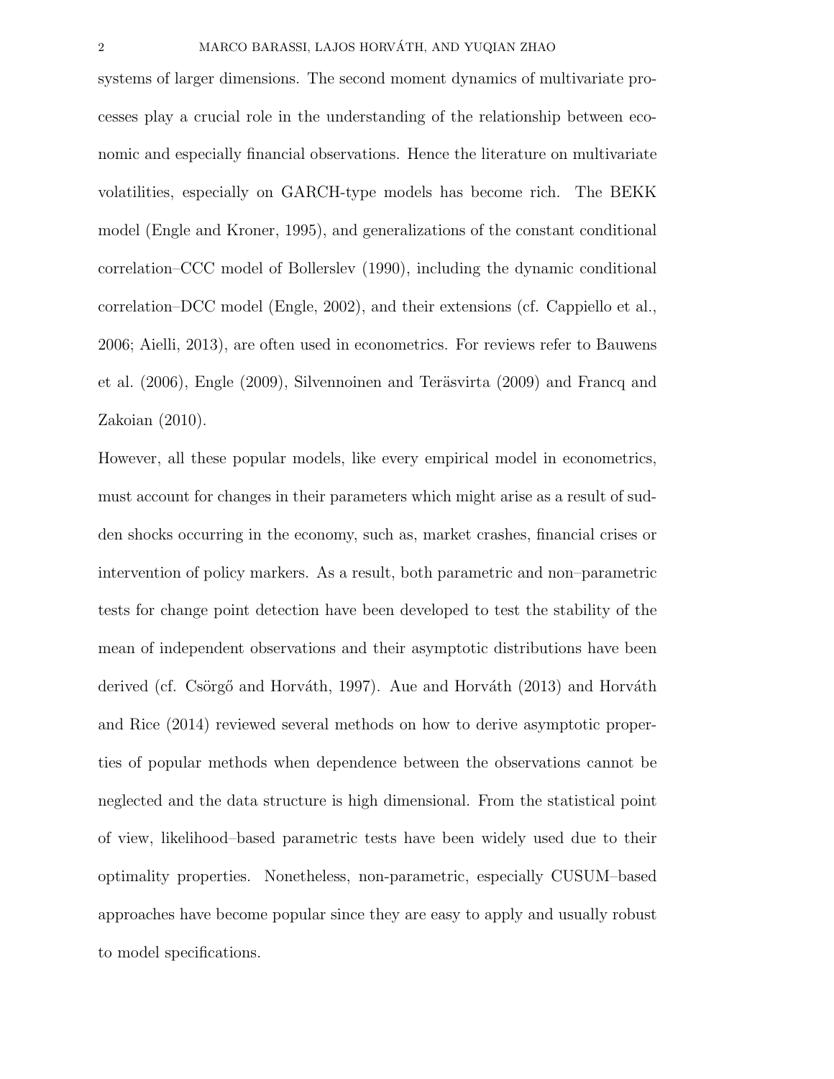systems of larger dimensions. The second moment dynamics of multivariate processes play a crucial role in the understanding of the relationship between economic and especially financial observations. Hence the literature on multivariate volatilities, especially on GARCH-type models has become rich. The BEKK model (Engle and Kroner, 1995), and generalizations of the constant conditional correlation–CCC model of Bollerslev (1990), including the dynamic conditional correlation–DCC model (Engle, 2002), and their extensions (cf. Cappiello et al., 2006; Aielli, 2013), are often used in econometrics. For reviews refer to Bauwens et al.  $(2006)$ , Engle  $(2009)$ , Silvennoinen and Teräsvirta  $(2009)$  and Francq and Zakoian (2010).

However, all these popular models, like every empirical model in econometrics, must account for changes in their parameters which might arise as a result of sudden shocks occurring in the economy, such as, market crashes, financial crises or intervention of policy markers. As a result, both parametric and non–parametric tests for change point detection have been developed to test the stability of the mean of independent observations and their asymptotic distributions have been derived (cf. Csörgő and Horváth, 1997). Aue and Horváth (2013) and Horváth and Rice (2014) reviewed several methods on how to derive asymptotic properties of popular methods when dependence between the observations cannot be neglected and the data structure is high dimensional. From the statistical point of view, likelihood–based parametric tests have been widely used due to their optimality properties. Nonetheless, non-parametric, especially CUSUM–based approaches have become popular since they are easy to apply and usually robust to model specifications.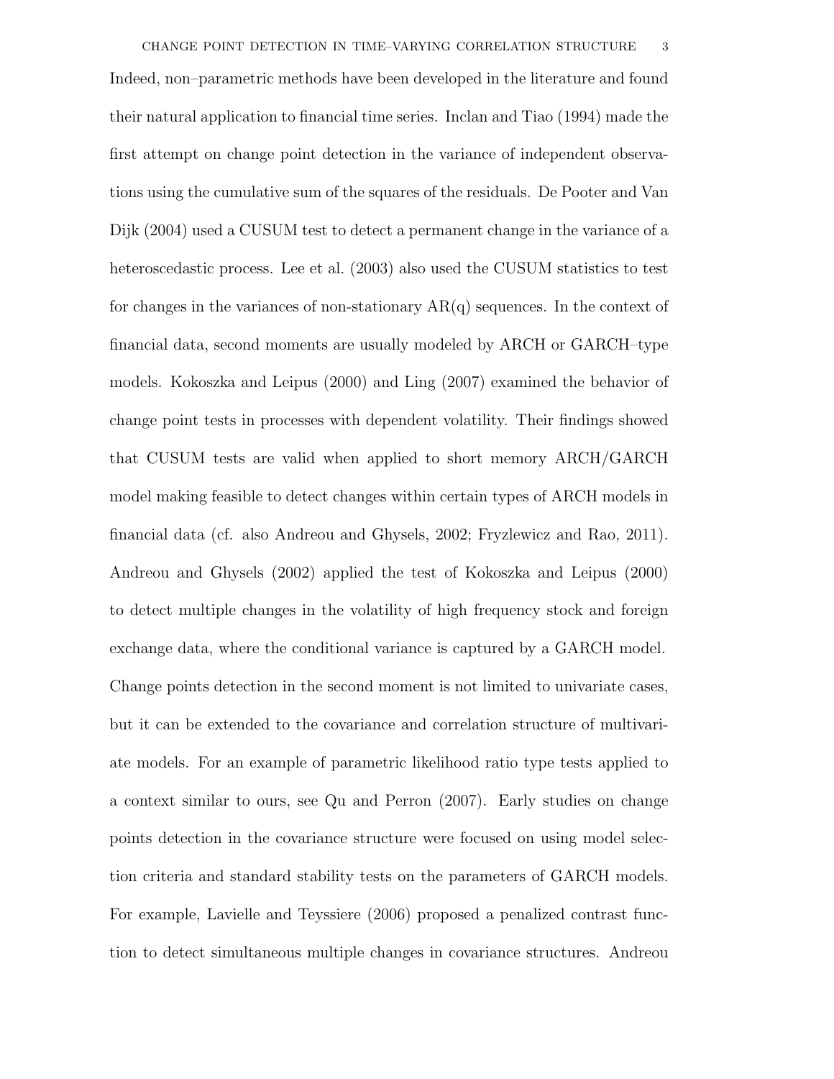their natural application to financial time series. Inclan and Tiao (1994) made the first attempt on change point detection in the variance of independent observations using the cumulative sum of the squares of the residuals. De Pooter and Van Dijk (2004) used a CUSUM test to detect a permanent change in the variance of a heteroscedastic process. Lee et al. (2003) also used the CUSUM statistics to test for changes in the variances of non-stationary  $AR(q)$  sequences. In the context of financial data, second moments are usually modeled by ARCH or GARCH–type models. Kokoszka and Leipus (2000) and Ling (2007) examined the behavior of change point tests in processes with dependent volatility. Their findings showed that CUSUM tests are valid when applied to short memory ARCH/GARCH model making feasible to detect changes within certain types of ARCH models in financial data (cf. also Andreou and Ghysels, 2002; Fryzlewicz and Rao, 2011). Andreou and Ghysels (2002) applied the test of Kokoszka and Leipus (2000) to detect multiple changes in the volatility of high frequency stock and foreign exchange data, where the conditional variance is captured by a GARCH model. Change points detection in the second moment is not limited to univariate cases, but it can be extended to the covariance and correlation structure of multivariate models. For an example of parametric likelihood ratio type tests applied to a context similar to ours, see Qu and Perron (2007). Early studies on change points detection in the covariance structure were focused on using model selection criteria and standard stability tests on the parameters of GARCH models. For example, Lavielle and Teyssiere (2006) proposed a penalized contrast function to detect simultaneous multiple changes in covariance structures. Andreou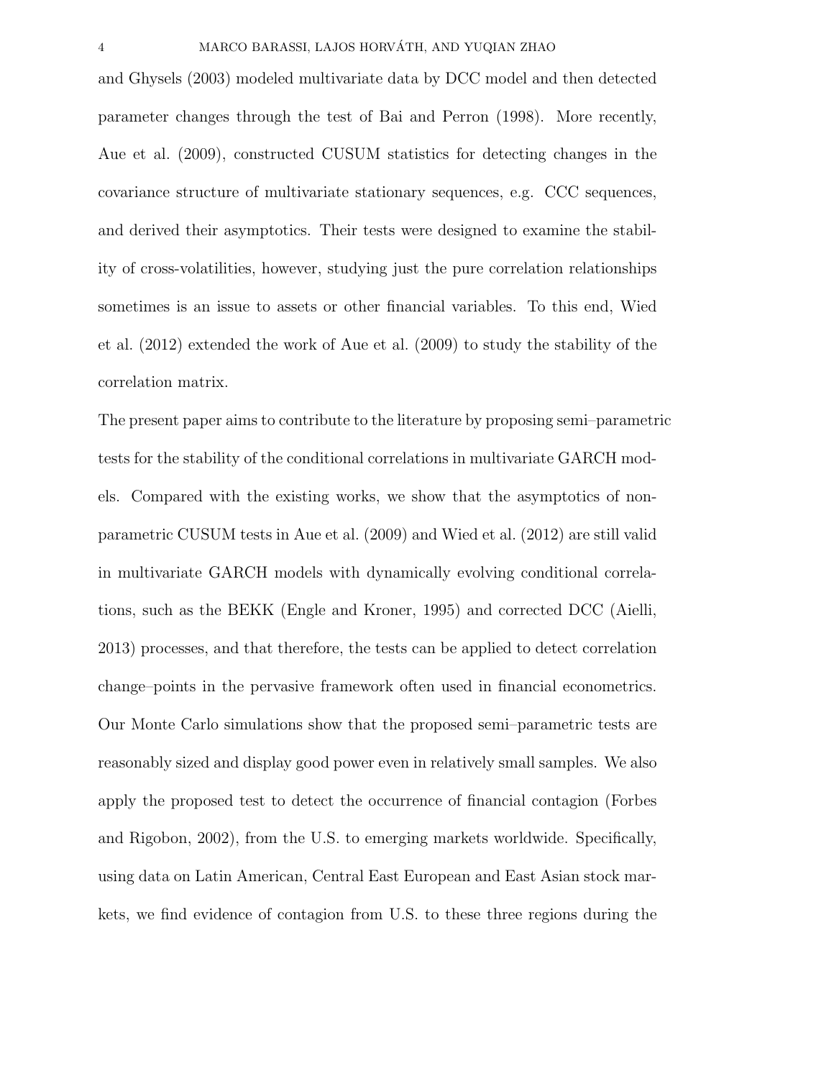and Ghysels (2003) modeled multivariate data by DCC model and then detected parameter changes through the test of Bai and Perron (1998). More recently, Aue et al. (2009), constructed CUSUM statistics for detecting changes in the covariance structure of multivariate stationary sequences, e.g. CCC sequences, and derived their asymptotics. Their tests were designed to examine the stability of cross-volatilities, however, studying just the pure correlation relationships sometimes is an issue to assets or other financial variables. To this end, Wied et al. (2012) extended the work of Aue et al. (2009) to study the stability of the correlation matrix.

The present paper aims to contribute to the literature by proposing semi–parametric tests for the stability of the conditional correlations in multivariate GARCH models. Compared with the existing works, we show that the asymptotics of nonparametric CUSUM tests in Aue et al. (2009) and Wied et al. (2012) are still valid in multivariate GARCH models with dynamically evolving conditional correlations, such as the BEKK (Engle and Kroner, 1995) and corrected DCC (Aielli, 2013) processes, and that therefore, the tests can be applied to detect correlation change–points in the pervasive framework often used in financial econometrics. Our Monte Carlo simulations show that the proposed semi–parametric tests are reasonably sized and display good power even in relatively small samples. We also apply the proposed test to detect the occurrence of financial contagion (Forbes and Rigobon, 2002), from the U.S. to emerging markets worldwide. Specifically, using data on Latin American, Central East European and East Asian stock markets, we find evidence of contagion from U.S. to these three regions during the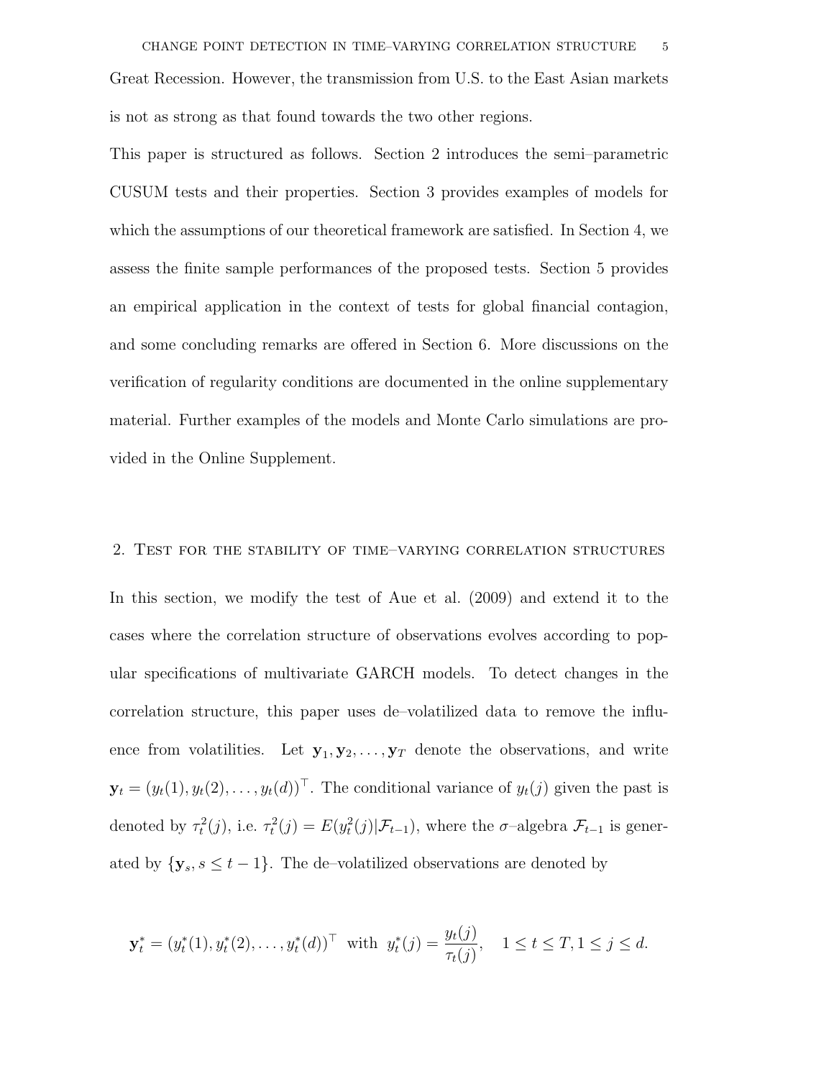This paper is structured as follows. Section 2 introduces the semi–parametric CUSUM tests and their properties. Section 3 provides examples of models for which the assumptions of our theoretical framework are satisfied. In Section 4, we assess the finite sample performances of the proposed tests. Section 5 provides an empirical application in the context of tests for global financial contagion, and some concluding remarks are offered in Section 6. More discussions on the verification of regularity conditions are documented in the online supplementary material. Further examples of the models and Monte Carlo simulations are provided in the Online Supplement.

#### 2. Test for the stability of time–varying correlation structures

In this section, we modify the test of Aue et al. (2009) and extend it to the cases where the correlation structure of observations evolves according to popular specifications of multivariate GARCH models. To detect changes in the correlation structure, this paper uses de–volatilized data to remove the influence from volatilities. Let  $y_1, y_2, \ldots, y_T$  denote the observations, and write  $\mathbf{y}_t = (y_t(1), y_t(2), \dots, y_t(d))^\top$ . The conditional variance of  $y_t(j)$  given the past is denoted by  $\tau_t^2(j)$ , i.e.  $\tau_t^2(j) = E(y_t^2(j)|\mathcal{F}_{t-1})$ , where the  $\sigma$ -algebra  $\mathcal{F}_{t-1}$  is generated by  $\{y_s, s \leq t - 1\}$ . The de–volatilized observations are denoted by

$$
\mathbf{y}_t^* = (y_t^*(1), y_t^*(2), \dots, y_t^*(d))^\top \text{ with } y_t^*(j) = \frac{y_t(j)}{\tau_t(j)}, \quad 1 \le t \le T, 1 \le j \le d.
$$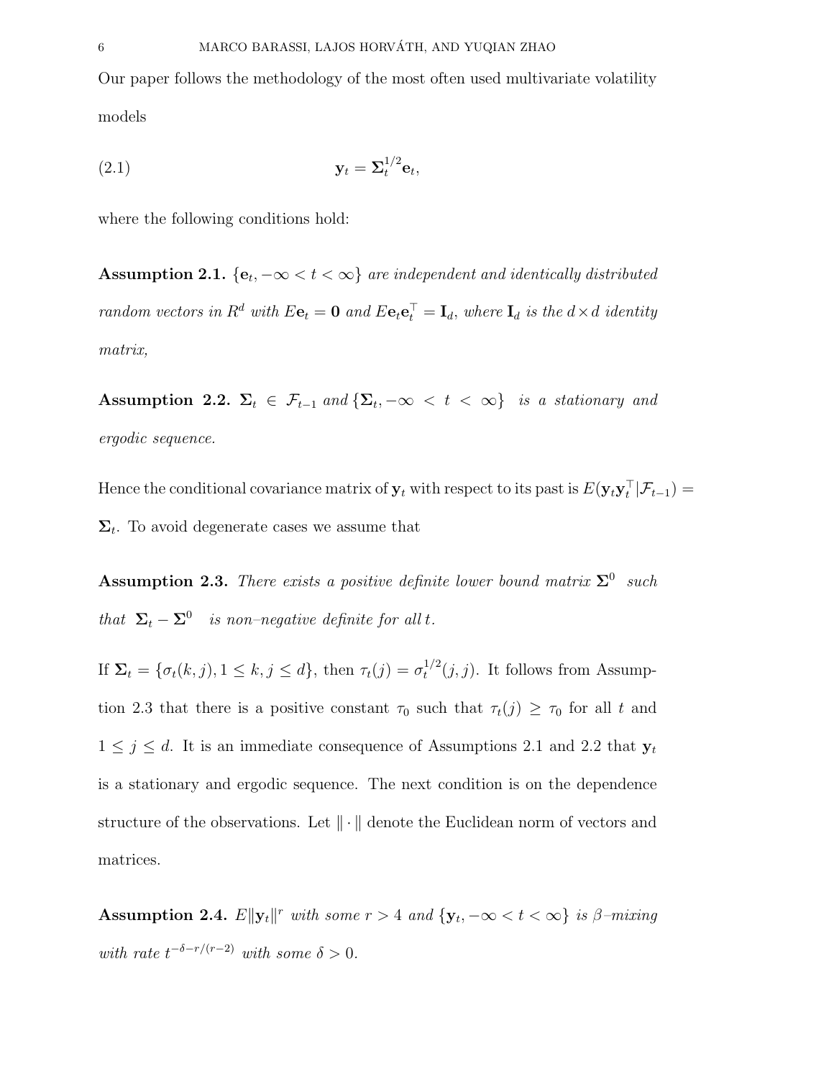Our paper follows the methodology of the most often used multivariate volatility models

$$
\mathbf{y}_t = \mathbf{\Sigma}_t^{1/2} \mathbf{e}_t,
$$

where the following conditions hold:

Assumption 2.1.  $\{e_t, -\infty < t < \infty\}$  are independent and identically distributed random vectors in  $R^d$  with  $E\mathbf{e}_t = \mathbf{0}$  and  $E\mathbf{e}_t \mathbf{e}_t^{\top} = \mathbf{I}_d$ , where  $\mathbf{I}_d$  is the  $d \times d$  identity matrix,

Assumption 2.2.  $\Sigma_t \in \mathcal{F}_{t-1}$  and  $\{\Sigma_t, -\infty < t < \infty\}$  is a stationary and ergodic sequence.

Hence the conditional covariance matrix of  $y_t$  with respect to its past is  $E(y_t y_t^\top | \mathcal{F}_{t-1}) =$  $\Sigma_t$ . To avoid degenerate cases we assume that

**Assumption 2.3.** There exists a positive definite lower bound matrix  $\Sigma^0$  such that  $\Sigma_t - \Sigma^0$  is non–negative definite for all t.

If  $\Sigma_t = \{\sigma_t(k,j), 1 \leq k, j \leq d\}$ , then  $\tau_t(j) = \sigma_t^{1/2}$  $t^{1/2}(j, j)$ . It follows from Assumption 2.3 that there is a positive constant  $\tau_0$  such that  $\tau_t(j) \geq \tau_0$  for all t and  $1 \leq j \leq d$ . It is an immediate consequence of Assumptions 2.1 and 2.2 that  $y_t$ is a stationary and ergodic sequence. The next condition is on the dependence structure of the observations. Let  $\|\cdot\|$  denote the Euclidean norm of vectors and matrices.

Assumption 2.4.  $E\|\mathbf{y}_t\|^r$  with some  $r > 4$  and  $\{\mathbf{y}_t, -\infty < t < \infty\}$  is  $\beta$ -mixing with rate  $t^{-\delta-r/(r-2)}$  with some  $\delta > 0$ .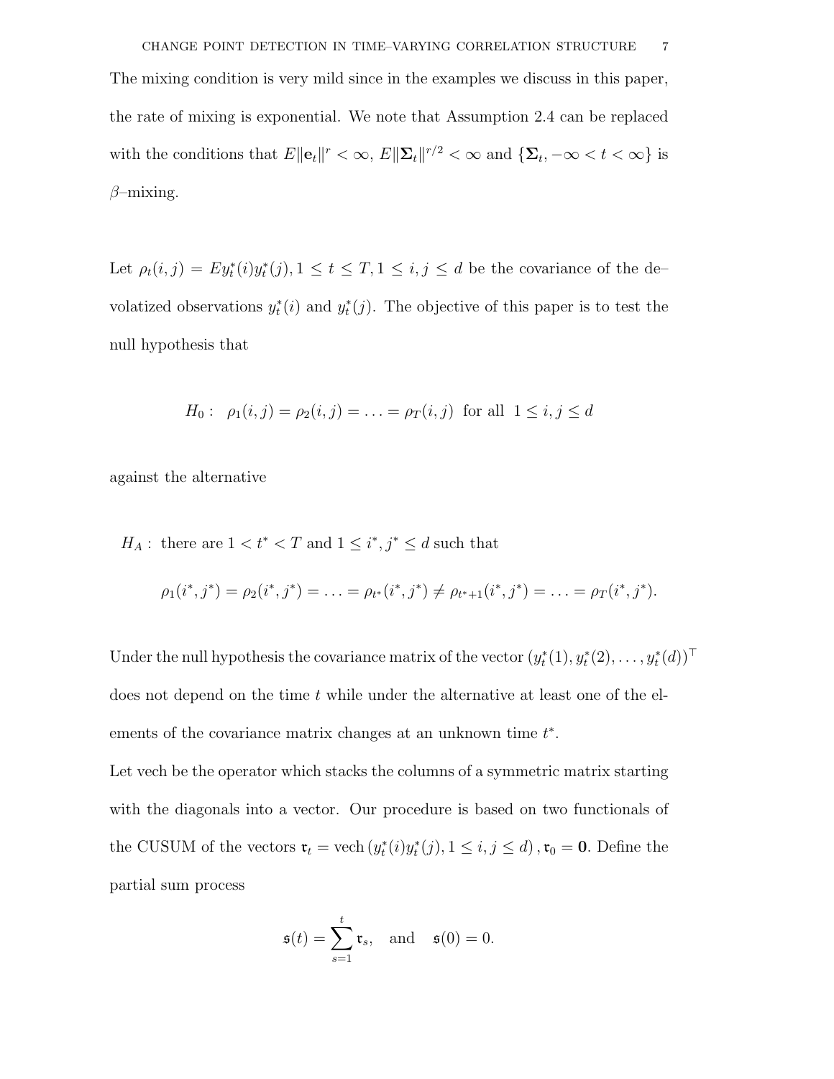The mixing condition is very mild since in the examples we discuss in this paper, the rate of mixing is exponential. We note that Assumption 2.4 can be replaced with the conditions that  $E\|\mathbf{e}_t\|^r < \infty$ ,  $E\|\mathbf{\Sigma}_t\|^{r/2} < \infty$  and  $\{\mathbf{\Sigma}_t, -\infty < t < \infty\}$  is  $\beta$ –mixing.

Let  $\rho_t(i,j) = Ey_t^*(i)y_t^*(j), 1 \le t \le T, 1 \le i, j \le d$  be the covariance of the devolatized observations  $y_t^*(i)$  and  $y_t^*(j)$ . The objective of this paper is to test the null hypothesis that

$$
H_0: \ \rho_1(i,j) = \rho_2(i,j) = \ldots = \rho_T(i,j)
$$
 for all  $1 \le i, j \le d$ 

against the alternative

 $H_A$ : there are  $1 < t^* < T$  and  $1 \le i^*, j^* \le d$  such that

$$
\rho_1(i^*,j^*) = \rho_2(i^*,j^*) = \ldots = \rho_{t^*}(i^*,j^*) \neq \rho_{t^*+1}(i^*,j^*) = \ldots = \rho_T(i^*,j^*).
$$

Under the null hypothesis the covariance matrix of the vector  $(y_t^*(1), y_t^*(2), \ldots, y_t^*(d))^\top$ does not depend on the time t while under the alternative at least one of the elements of the covariance matrix changes at an unknown time  $t^*$ .

Let vech be the operator which stacks the columns of a symmetric matrix starting with the diagonals into a vector. Our procedure is based on two functionals of the CUSUM of the vectors  $\mathfrak{r}_t = \text{vech}(y_t^*(i)y_t^*(j), 1 \leq i, j \leq d)$ ,  $\mathfrak{r}_0 = 0$ . Define the partial sum process

$$
\mathfrak{s}(t) = \sum_{s=1}^{t} \mathfrak{r}_s
$$
, and  $\mathfrak{s}(0) = 0$ .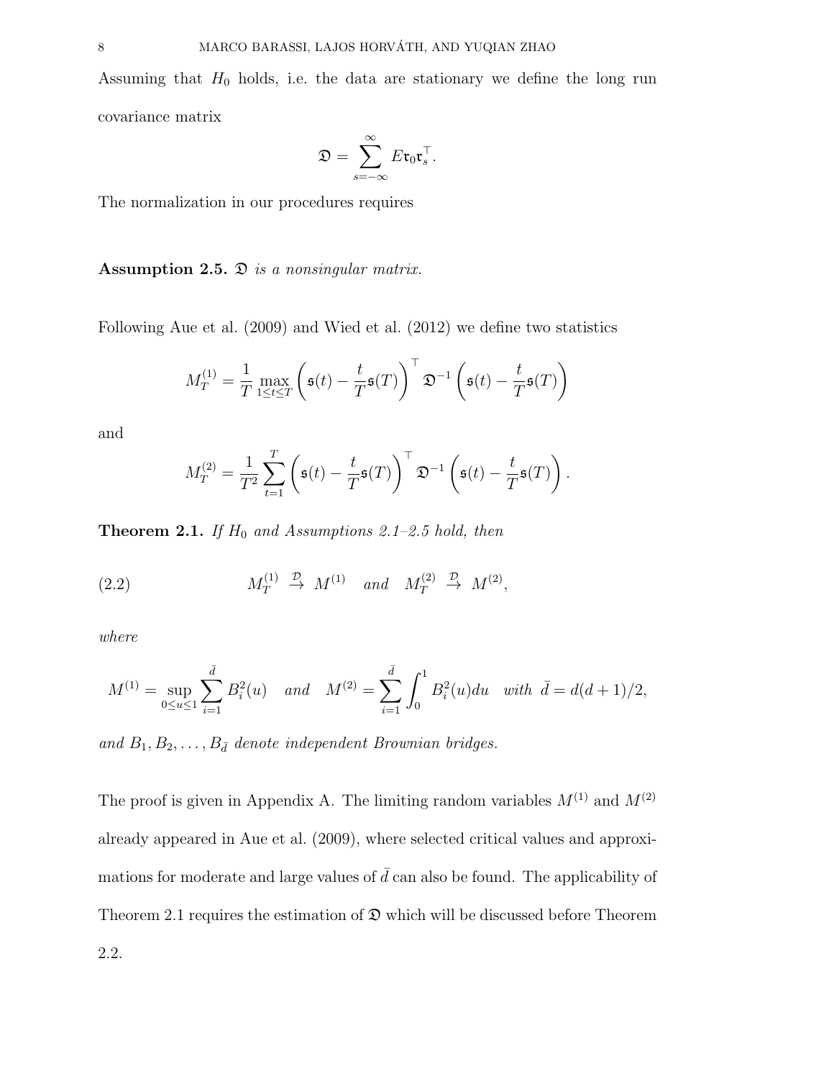Assuming that  $H_0$  holds, i.e. the data are stationary we define the long run covariance matrix

$$
\mathfrak{D}=\sum_{s=-\infty}^{\infty}E\mathfrak{r}_0\mathfrak{r}_s^{\top}.
$$

The normalization in our procedures requires

Assumption 2.5.  $\mathfrak D$  is a nonsingular matrix.

Following Aue et al. (2009) and Wied et al. (2012) we define two statistics

$$
M_T^{(1)} = \frac{1}{T} \max_{1 \le t \le T} \left( \mathfrak{s}(t) - \frac{t}{T} \mathfrak{s}(T) \right)^{\top} \mathfrak{D}^{-1} \left( \mathfrak{s}(t) - \frac{t}{T} \mathfrak{s}(T) \right)
$$

and

$$
M_T^{(2)} = \frac{1}{T^2} \sum_{t=1}^T \left( \mathfrak{s}(t) - \frac{t}{T} \mathfrak{s}(T) \right)^T \mathfrak{D}^{-1} \left( \mathfrak{s}(t) - \frac{t}{T} \mathfrak{s}(T) \right).
$$

**Theorem 2.1.** If  $H_0$  and Assumptions 2.1–2.5 hold, then

(2.2) 
$$
M_T^{(1)} \stackrel{\mathcal{D}}{\rightarrow} M^{(1)}
$$
 and  $M_T^{(2)} \stackrel{\mathcal{D}}{\rightarrow} M^{(2)}$ ,

where

$$
M^{(1)} = \sup_{0 \le u \le 1} \sum_{i=1}^{\bar{d}} B_i^2(u) \quad and \quad M^{(2)} = \sum_{i=1}^{\bar{d}} \int_0^1 B_i^2(u) du \quad with \quad \bar{d} = d(d+1)/2,
$$

and  $B_1, B_2, \ldots, B_{\bar{d}}$  denote independent Brownian bridges.

The proof is given in Appendix A. The limiting random variables  $M^{(1)}$  and  $M^{(2)}$ already appeared in Aue et al. (2009), where selected critical values and approximations for moderate and large values of  $\bar{d}$  can also be found. The applicability of Theorem 2.1 requires the estimation of  $\mathfrak D$  which will be discussed before Theorem 2.2.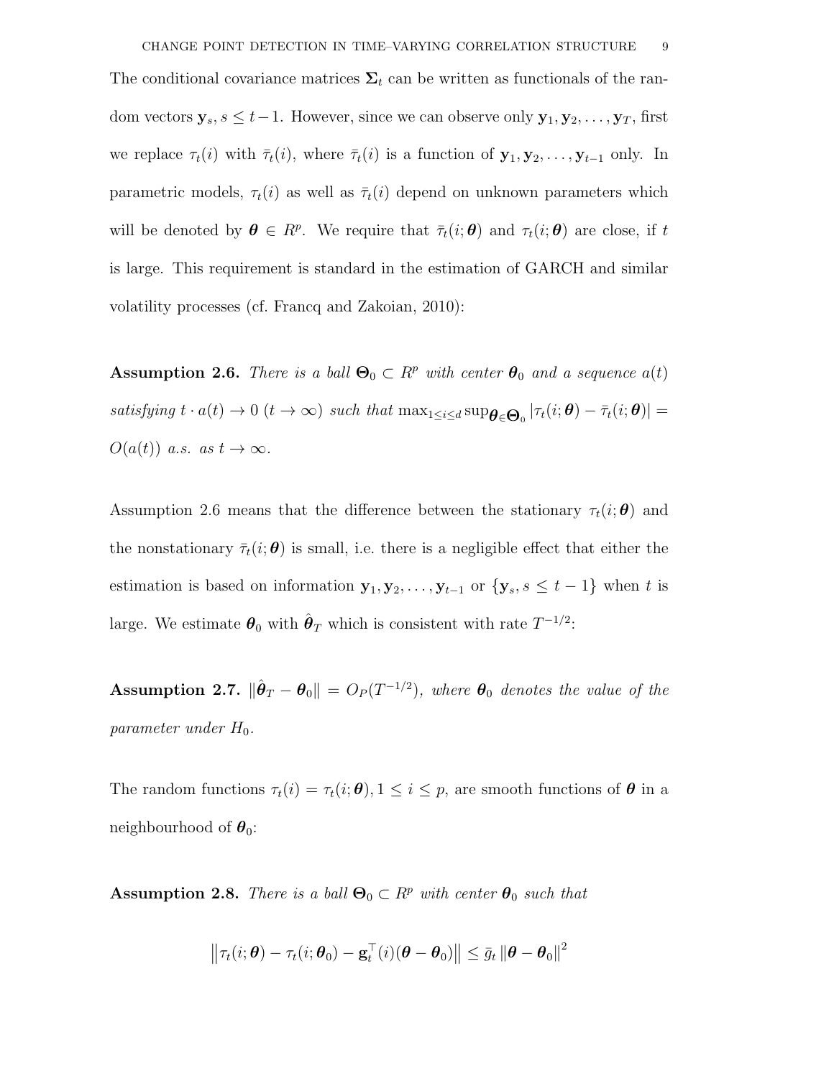The conditional covariance matrices  $\Sigma_t$  can be written as functionals of the random vectors  $\mathbf{y}_s, s \leq t-1$ . However, since we can observe only  $\mathbf{y}_1, \mathbf{y}_2, \ldots, \mathbf{y}_T$ , first we replace  $\tau_t(i)$  with  $\bar{\tau}_t(i)$ , where  $\bar{\tau}_t(i)$  is a function of  $\mathbf{y}_1, \mathbf{y}_2, \ldots, \mathbf{y}_{t-1}$  only. In parametric models,  $\tau_t(i)$  as well as  $\bar{\tau}_t(i)$  depend on unknown parameters which will be denoted by  $\boldsymbol{\theta} \in R^p$ . We require that  $\bar{\tau}_t(i; \boldsymbol{\theta})$  and  $\tau_t(i; \boldsymbol{\theta})$  are close, if t is large. This requirement is standard in the estimation of GARCH and similar volatility processes (cf. Francq and Zakoian, 2010):

**Assumption 2.6.** There is a ball  $\Theta_0 \subset R^p$  with center  $\theta_0$  and a sequence  $a(t)$ satisfying  $t \cdot a(t) \to 0$   $(t \to \infty)$  such that  $\max_{1 \leq i \leq d} \sup_{\boldsymbol{\theta} \in \Theta_0} |\tau_t(i; \boldsymbol{\theta}) - \bar{\tau}_t(i; \boldsymbol{\theta})| =$  $O(a(t))$  a.s. as  $t \to \infty$ .

Assumption 2.6 means that the difference between the stationary  $\tau_t(i; \theta)$  and the nonstationary  $\bar{\tau}_t(i; \theta)$  is small, i.e. there is a negligible effect that either the estimation is based on information  $\mathbf{y}_1, \mathbf{y}_2, \ldots, \mathbf{y}_{t-1}$  or  $\{\mathbf{y}_s, s \leq t-1\}$  when t is large. We estimate  $\boldsymbol{\theta}_0$  with  $\hat{\boldsymbol{\theta}}_T$  which is consistent with rate  $T^{-1/2}$ :

Assumption 2.7.  $\|\hat{\boldsymbol{\theta}}_T - \boldsymbol{\theta}_0\| = O_P(T^{-1/2})$ , where  $\boldsymbol{\theta}_0$  denotes the value of the parameter under  $H_0$ .

The random functions  $\tau_t(i) = \tau_t(i; \theta), 1 \leq i \leq p$ , are smooth functions of  $\theta$  in a neighbourhood of  $\theta_0$ :

**Assumption 2.8.** There is a ball  $\Theta_0 \subset R^p$  with center  $\theta_0$  such that

$$
\left\|\tau_t(i; \boldsymbol{\theta}) - \tau_t(i; \boldsymbol{\theta}_0) - \mathbf{g}_t^{\top}(i)(\boldsymbol{\theta} - \boldsymbol{\theta}_0)\right\| \leq \bar{g}_t \left\|\boldsymbol{\theta} - \boldsymbol{\theta}_0\right\|^2
$$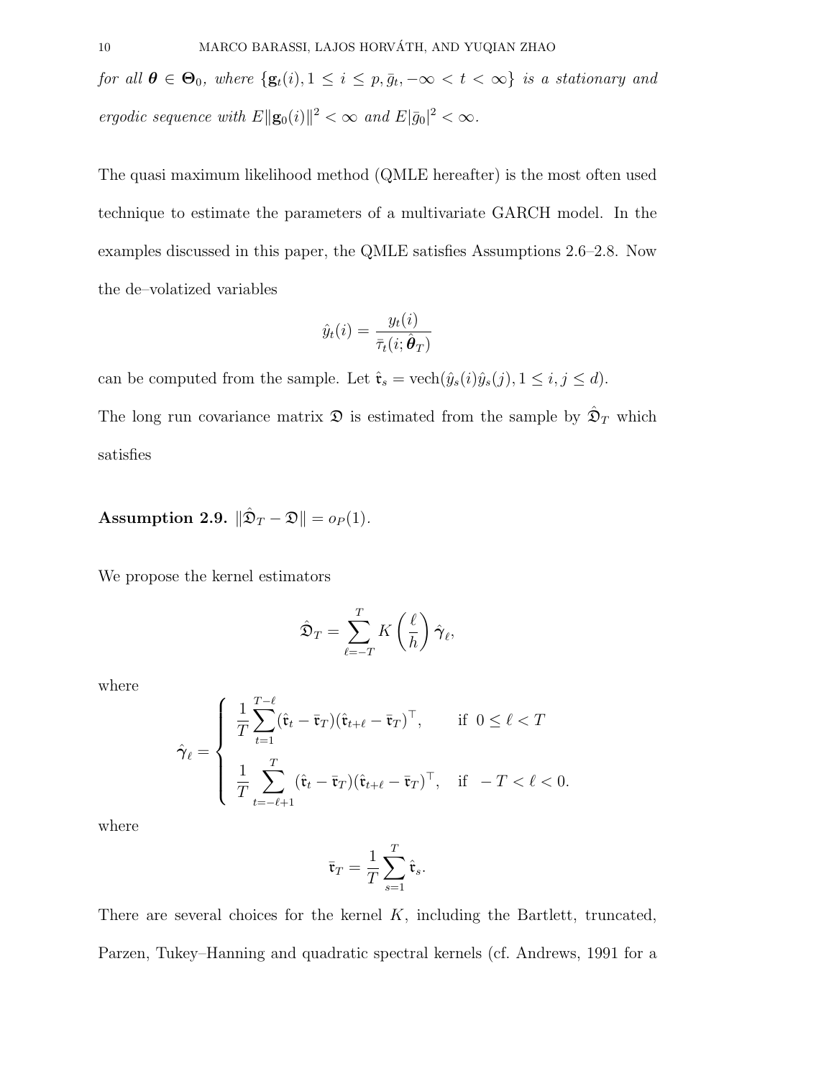for all  $\boldsymbol{\theta} \in \Theta_0$ , where  $\{g_t(i), 1 \leq i \leq p, \bar{g}_t, -\infty < t < \infty\}$  is a stationary and ergodic sequence with  $E\Vert \mathbf{g}_0(i) \Vert^2 < \infty$  and  $E\vert \bar{g}_0 \vert^2 < \infty$ .

The quasi maximum likelihood method (QMLE hereafter) is the most often used technique to estimate the parameters of a multivariate GARCH model. In the examples discussed in this paper, the QMLE satisfies Assumptions 2.6–2.8. Now the de–volatized variables

$$
\hat{y}_t(i) = \frac{y_t(i)}{\bar{\tau}_t(i; \hat{\boldsymbol{\theta}}_T)}
$$

can be computed from the sample. Let  $\hat{\mathfrak{r}}_s = \text{vech}(\hat{y}_s(i)\hat{y}_s(j), 1 \le i, j \le d)$ .

The long run covariance matrix  $\mathfrak D$  is estimated from the sample by  $\hat{\mathfrak D}_T$  which satisfies

Assumption 2.9.  $\|\hat{\mathfrak{D}}_T - \mathfrak{D}\| = o_P(1)$ .

We propose the kernel estimators

$$
\hat{\mathfrak{D}}_T = \sum_{\ell=-T}^T K\left(\frac{\ell}{h}\right) \hat{\boldsymbol{\gamma}}_{\ell},
$$

where

$$
\hat{\boldsymbol{\gamma}}_{\ell} = \begin{cases}\n\frac{1}{T} \sum_{t=1}^{T-\ell} (\hat{\mathbf{r}}_{t} - \bar{\mathbf{r}}_{T}) (\hat{\mathbf{r}}_{t+\ell} - \bar{\mathbf{r}}_{T})^{\top}, & \text{if } 0 \leq \ell < T \\
\frac{1}{T} \sum_{t=-\ell+1}^{T} (\hat{\mathbf{r}}_{t} - \bar{\mathbf{r}}_{T}) (\hat{\mathbf{r}}_{t+\ell} - \bar{\mathbf{r}}_{T})^{\top}, & \text{if } -T < \ell < 0.\n\end{cases}
$$

where

$$
\bar{\mathfrak{r}}_T = \frac{1}{T} \sum_{s=1}^T \hat{\mathfrak{r}}_s.
$$

There are several choices for the kernel  $K$ , including the Bartlett, truncated, Parzen, Tukey–Hanning and quadratic spectral kernels (cf. Andrews, 1991 for a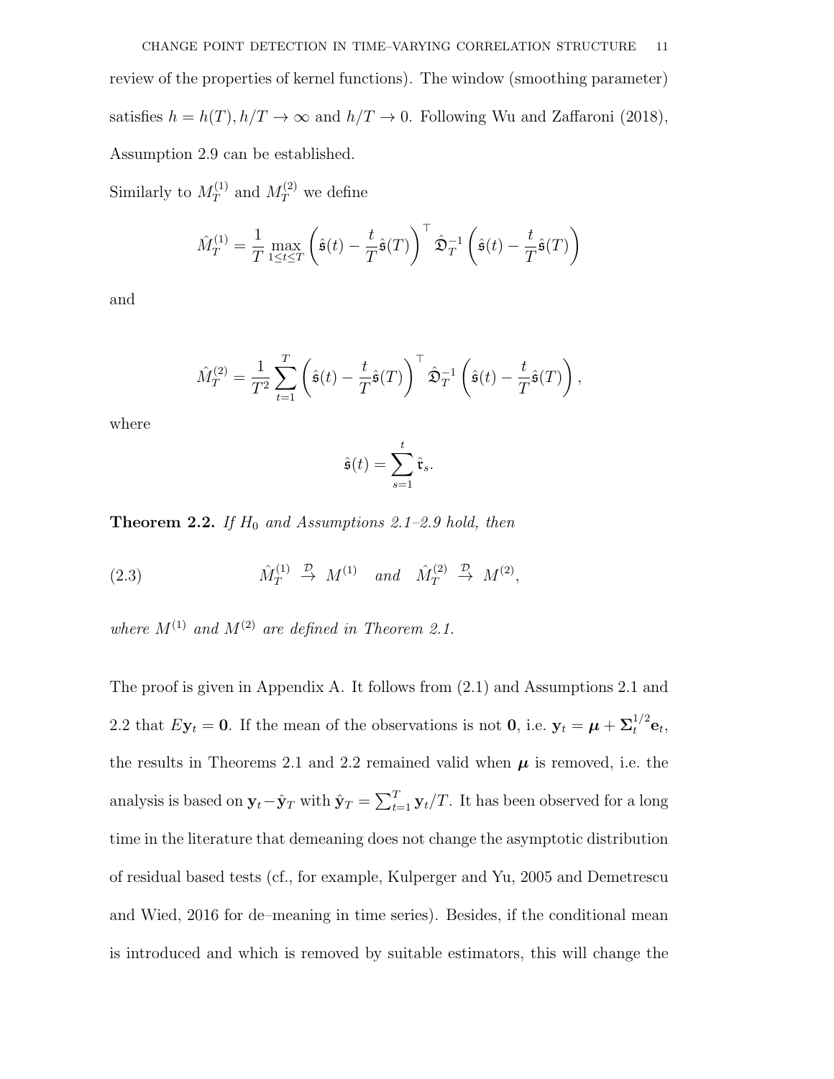Similarly to  $M_T^{(1)}$  $T_T^{(1)}$  and  $M_T^{(2)}$  we define

$$
\hat{M}_T^{(1)} = \frac{1}{T} \max_{1 \le t \le T} \left( \hat{\mathfrak{s}}(t) - \frac{t}{T} \hat{\mathfrak{s}}(T) \right)^{\top} \hat{\mathfrak{D}}_T^{-1} \left( \hat{\mathfrak{s}}(t) - \frac{t}{T} \hat{\mathfrak{s}}(T) \right)
$$

and

$$
\hat{M}_T^{(2)} = \frac{1}{T^2} \sum_{t=1}^T \left( \hat{\mathfrak{s}}(t) - \frac{t}{T} \hat{\mathfrak{s}}(T) \right)^{\top} \hat{\mathfrak{D}}_T^{-1} \left( \hat{\mathfrak{s}}(t) - \frac{t}{T} \hat{\mathfrak{s}}(T) \right),
$$

where

$$
\hat{\mathfrak{s}}(t) = \sum_{s=1}^{t} \hat{\mathfrak{r}}_s.
$$

**Theorem 2.2.** If  $H_0$  and Assumptions 2.1–2.9 hold, then

(2.3) 
$$
\hat{M}_T^{(1)} \stackrel{\mathcal{D}}{\rightarrow} M^{(1)} \quad \text{and} \quad \hat{M}_T^{(2)} \stackrel{\mathcal{D}}{\rightarrow} M^{(2)},
$$

where  $M^{(1)}$  and  $M^{(2)}$  are defined in Theorem 2.1.

The proof is given in Appendix A. It follows from (2.1) and Assumptions 2.1 and 2.2 that  $E\mathbf{y}_t = \mathbf{0}$ . If the mean of the observations is not  $\mathbf{0}$ , i.e.  $\mathbf{y}_t = \boldsymbol{\mu} + \boldsymbol{\Sigma}_t^{1/2} \mathbf{e}_t$ , the results in Theorems 2.1 and 2.2 remained valid when  $\mu$  is removed, i.e. the analysis is based on  $y_t$  –  $\hat{y}_T$  with  $\hat{y}_T = \sum_{t=1}^T y_t/T$ . It has been observed for a long time in the literature that demeaning does not change the asymptotic distribution of residual based tests (cf., for example, Kulperger and Yu, 2005 and Demetrescu and Wied, 2016 for de–meaning in time series). Besides, if the conditional mean is introduced and which is removed by suitable estimators, this will change the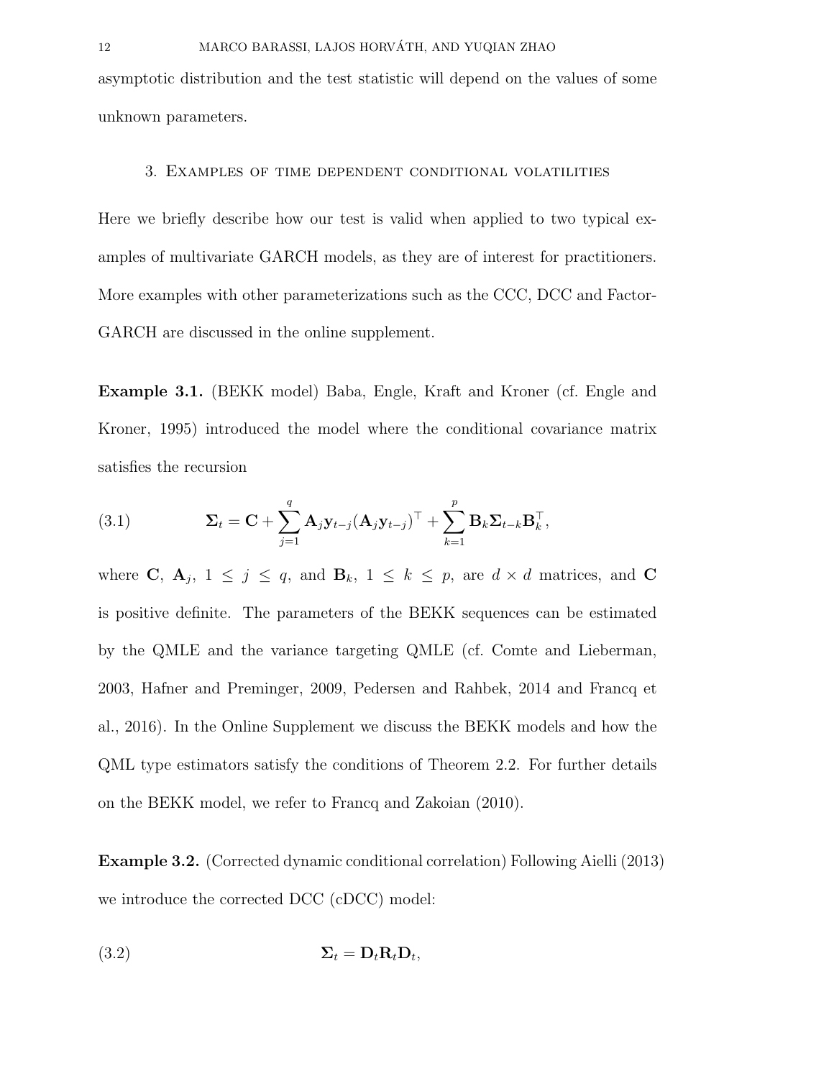asymptotic distribution and the test statistic will depend on the values of some unknown parameters.

#### 3. Examples of time dependent conditional volatilities

Here we briefly describe how our test is valid when applied to two typical examples of multivariate GARCH models, as they are of interest for practitioners. More examples with other parameterizations such as the CCC, DCC and Factor-GARCH are discussed in the online supplement.

Example 3.1. (BEKK model) Baba, Engle, Kraft and Kroner (cf. Engle and Kroner, 1995) introduced the model where the conditional covariance matrix satisfies the recursion

(3.1) 
$$
\mathbf{\Sigma}_{t} = \mathbf{C} + \sum_{j=1}^{q} \mathbf{A}_{j} \mathbf{y}_{t-j} (\mathbf{A}_{j} \mathbf{y}_{t-j})^{\top} + \sum_{k=1}^{p} \mathbf{B}_{k} \mathbf{\Sigma}_{t-k} \mathbf{B}_{k}^{\top},
$$

where C,  $A_j$ ,  $1 \leq j \leq q$ , and  $B_k$ ,  $1 \leq k \leq p$ , are  $d \times d$  matrices, and C is positive definite. The parameters of the BEKK sequences can be estimated by the QMLE and the variance targeting QMLE (cf. Comte and Lieberman, 2003, Hafner and Preminger, 2009, Pedersen and Rahbek, 2014 and Francq et al., 2016). In the Online Supplement we discuss the BEKK models and how the QML type estimators satisfy the conditions of Theorem 2.2. For further details on the BEKK model, we refer to Francq and Zakoian (2010).

Example 3.2. (Corrected dynamic conditional correlation) Following Aielli (2013) we introduce the corrected DCC (cDCC) model:

$$
\Sigma_t = \mathbf{D}_t \mathbf{R}_t \mathbf{D}_t,
$$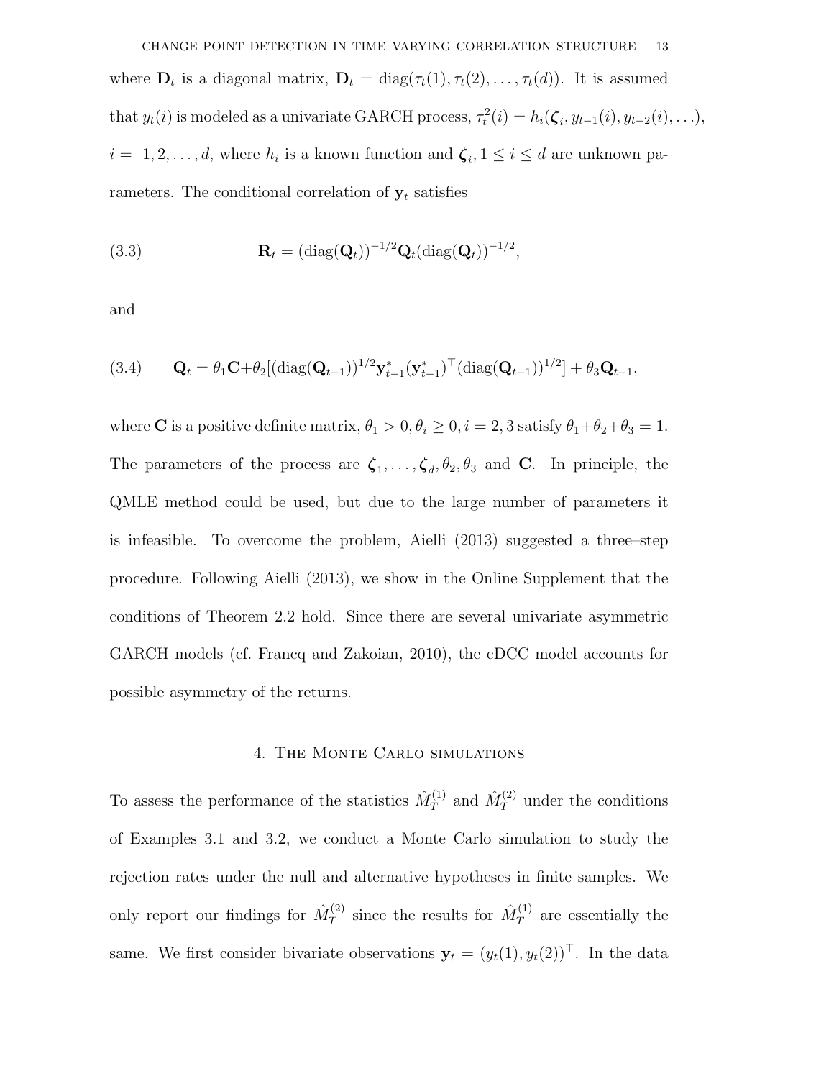CHANGE POINT DETECTION IN TIME–VARYING CORRELATION STRUCTURE 13 where  $\mathbf{D}_t$  is a diagonal matrix,  $\mathbf{D}_t = \text{diag}(\tau_t(1), \tau_t(2), \dots, \tau_t(d))$ . It is assumed that  $y_t(i)$  is modeled as a univariate GARCH process,  $\tau_t^2(i) = h_i(\boldsymbol{\zeta}_i, y_{t-1}(i), y_{t-2}(i), \ldots)$ ,  $i = 1, 2, \ldots, d$ , where  $h_i$  is a known function and  $\zeta_i, 1 \leq i \leq d$  are unknown parameters. The conditional correlation of  $y_t$  satisfies

(3.3) 
$$
\mathbf{R}_t = (\text{diag}(\mathbf{Q}_t))^{-1/2} \mathbf{Q}_t (\text{diag}(\mathbf{Q}_t))^{-1/2},
$$

and

(3.4) 
$$
\mathbf{Q}_t = \theta_1 \mathbf{C} + \theta_2 [(\text{diag}(\mathbf{Q}_{t-1}))^{1/2} \mathbf{y}_{t-1}^*(\mathbf{y}_{t-1}^*)^{\top} (\text{diag}(\mathbf{Q}_{t-1}))^{1/2}] + \theta_3 \mathbf{Q}_{t-1},
$$

where **C** is a positive definite matrix,  $\theta_1 > 0$ ,  $\theta_i \ge 0$ ,  $i = 2, 3$  satisfy  $\theta_1 + \theta_2 + \theta_3 = 1$ . The parameters of the process are  $\zeta_1, \ldots, \zeta_d, \theta_2, \theta_3$  and **C**. In principle, the QMLE method could be used, but due to the large number of parameters it is infeasible. To overcome the problem, Aielli (2013) suggested a three–step procedure. Following Aielli (2013), we show in the Online Supplement that the conditions of Theorem 2.2 hold. Since there are several univariate asymmetric GARCH models (cf. Francq and Zakoian, 2010), the cDCC model accounts for possible asymmetry of the returns.

#### 4. The Monte Carlo simulations

To assess the performance of the statistics  $\hat{M}_T^{(1)}$  $\hat{M}_T^{(1)}$  and  $\hat{M}_T^{(2)}$  under the conditions of Examples 3.1 and 3.2, we conduct a Monte Carlo simulation to study the rejection rates under the null and alternative hypotheses in finite samples. We only report our findings for  $\hat{M}_T^{(2)}$  $\hat{M}_T^{(2)}$  since the results for  $\hat{M}_T^{(1)}$  $T^{(1)}$  are essentially the same. We first consider bivariate observations  $\mathbf{y}_t = (y_t(1), y_t(2))^T$ . In the data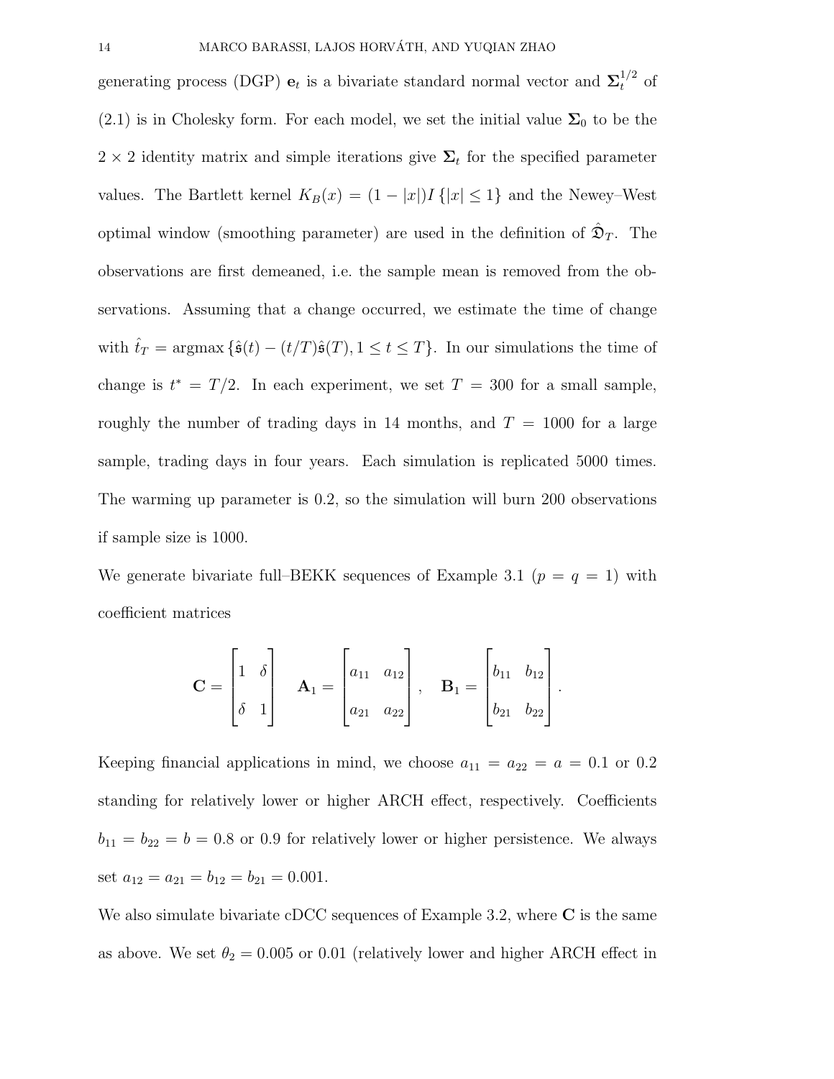generating process (DGP)  $\mathbf{e}_t$  is a bivariate standard normal vector and  $\Sigma_t^{1/2}$  of (2.1) is in Cholesky form. For each model, we set the initial value  $\Sigma_0$  to be the 2 × 2 identity matrix and simple iterations give  $\Sigma_t$  for the specified parameter values. The Bartlett kernel  $K_B(x) = (1 - |x|)I\{|x| \leq 1\}$  and the Newey–West optimal window (smoothing parameter) are used in the definition of  $\hat{\mathfrak{D}}_T$ . The observations are first demeaned, i.e. the sample mean is removed from the observations. Assuming that a change occurred, we estimate the time of change with  $\hat{t}_T = \arg\max \{\hat{\mathfrak{s}}(t) - (t/T)\hat{\mathfrak{s}}(T), 1 \le t \le T\}$ . In our simulations the time of change is  $t^* = T/2$ . In each experiment, we set  $T = 300$  for a small sample, roughly the number of trading days in 14 months, and  $T = 1000$  for a large sample, trading days in four years. Each simulation is replicated 5000 times. The warming up parameter is 0.2, so the simulation will burn 200 observations if sample size is 1000.

We generate bivariate full–BEKK sequences of Example 3.1 ( $p = q = 1$ ) with coefficient matrices

$$
\mathbf{C} = \begin{bmatrix} 1 & \delta \\ \delta & 1 \end{bmatrix} \quad \mathbf{A}_1 = \begin{bmatrix} a_{11} & a_{12} \\ a_{21} & a_{22} \end{bmatrix}, \quad \mathbf{B}_1 = \begin{bmatrix} b_{11} & b_{12} \\ b_{21} & b_{22} \end{bmatrix}.
$$

Keeping financial applications in mind, we choose  $a_{11} = a_{22} = a = 0.1$  or 0.2 standing for relatively lower or higher ARCH effect, respectively. Coefficients  $b_{11} = b_{22} = b = 0.8$  or 0.9 for relatively lower or higher persistence. We always set  $a_{12} = a_{21} = b_{12} = b_{21} = 0.001$ .

We also simulate bivariate cDCC sequences of Example 3.2, where  $C$  is the same as above. We set  $\theta_2 = 0.005$  or 0.01 (relatively lower and higher ARCH effect in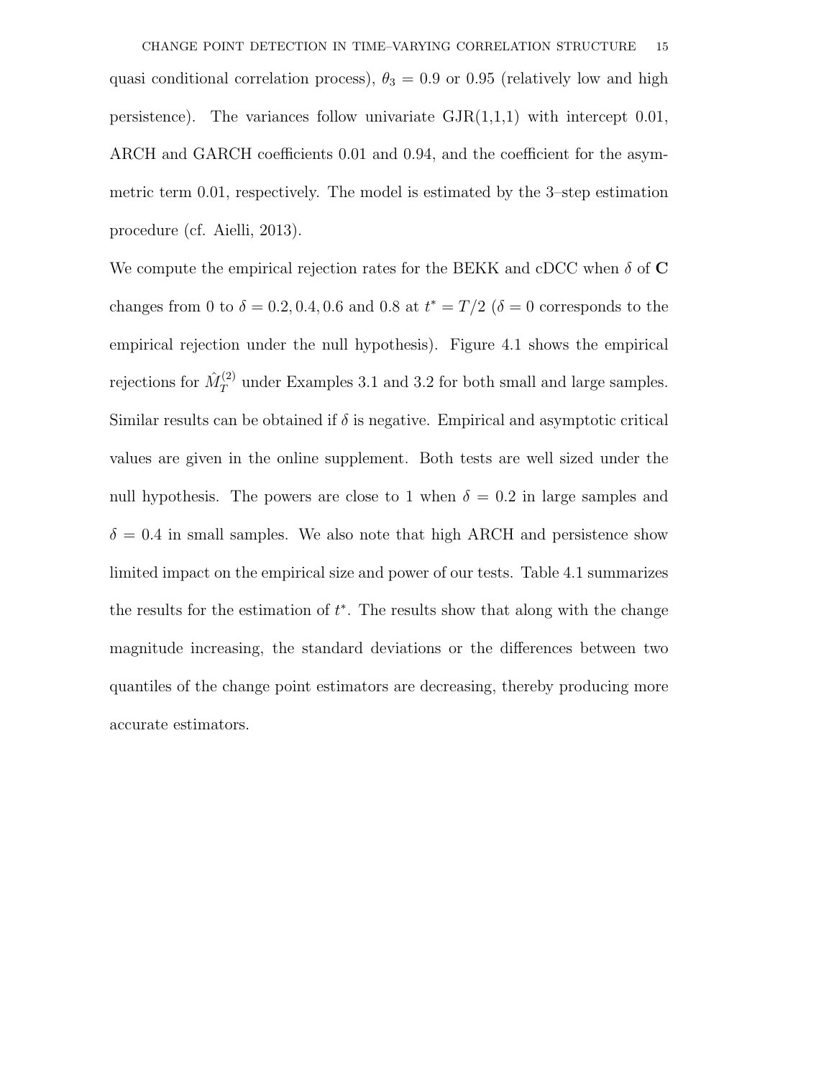CHANGE POINT DETECTION IN TIME–VARYING CORRELATION STRUCTURE 15 quasi conditional correlation process),  $\theta_3 = 0.9$  or 0.95 (relatively low and high persistence). The variances follow univariate  $\text{GJR}(1,1,1)$  with intercept 0.01, ARCH and GARCH coefficients 0.01 and 0.94, and the coefficient for the asymmetric term 0.01, respectively. The model is estimated by the 3–step estimation procedure (cf. Aielli, 2013).

We compute the empirical rejection rates for the BEKK and cDCC when  $\delta$  of C changes from 0 to  $\delta = 0.2, 0.4, 0.6$  and 0.8 at  $t^* = T/2$  ( $\delta = 0$  corresponds to the empirical rejection under the null hypothesis). Figure 4.1 shows the empirical rejections for  $\hat{M}_T^{(2)}$  under Examples 3.1 and 3.2 for both small and large samples. Similar results can be obtained if  $\delta$  is negative. Empirical and asymptotic critical values are given in the online supplement. Both tests are well sized under the null hypothesis. The powers are close to 1 when  $\delta = 0.2$  in large samples and  $\delta = 0.4$  in small samples. We also note that high ARCH and persistence show limited impact on the empirical size and power of our tests. Table 4.1 summarizes the results for the estimation of  $t^*$ . The results show that along with the change magnitude increasing, the standard deviations or the differences between two quantiles of the change point estimators are decreasing, thereby producing more accurate estimators.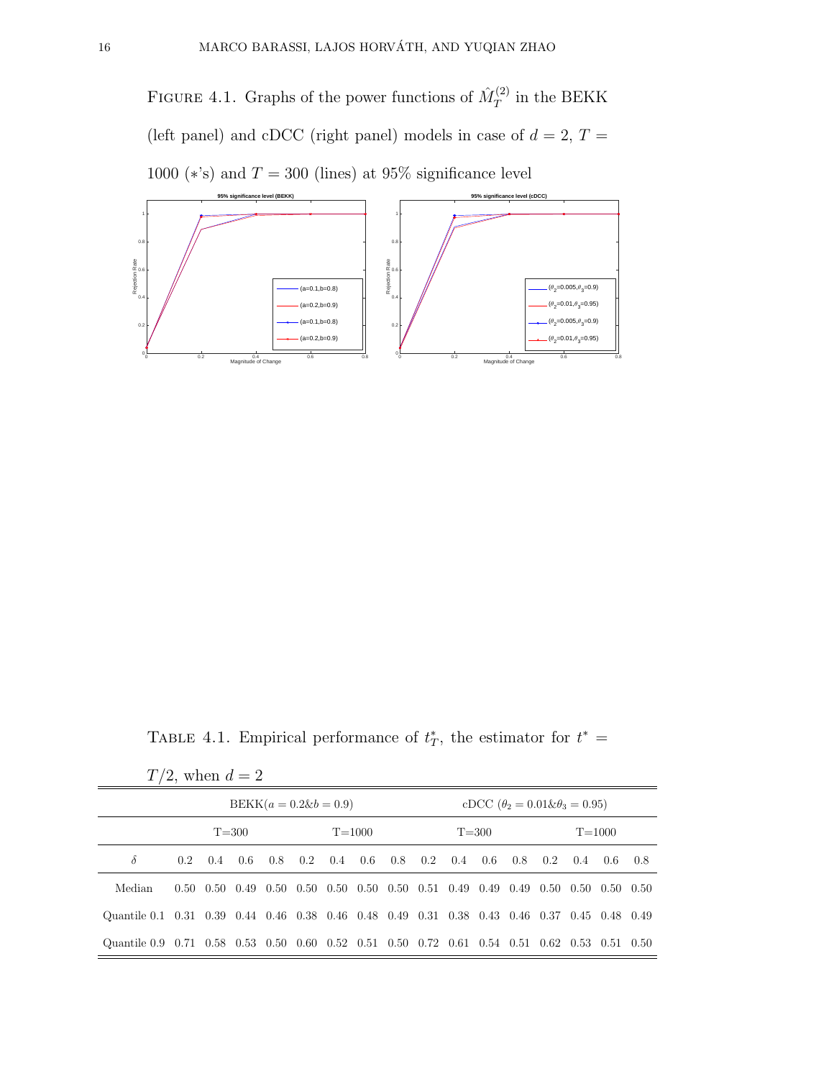FIGURE 4.1. Graphs of the power functions of  $\hat{M}_T^{(2)}$  $T^{(2)}$  in the BEKK (left panel) and cDCC (right panel) models in case of  $d = 2, T =$ 1000 ( $\ast$ 's) and  $T = 300$  (lines) at 95% significance level



TABLE 4.1. Empirical performance of  $t^*$ , the estimator for  $t^* =$ 

| $T/2$ , when $d=2$                                                                           |                         |     |     |     |     |     |     |           |                                             |     |     |            |                                                                                                                 |     |       |     |
|----------------------------------------------------------------------------------------------|-------------------------|-----|-----|-----|-----|-----|-----|-----------|---------------------------------------------|-----|-----|------------|-----------------------------------------------------------------------------------------------------------------|-----|-------|-----|
| $BEKK(a = 0.2 \& b = 0.9)$                                                                   |                         |     |     |     |     |     |     |           | cDCC $(\theta_2 = 0.01 \& \theta_3 = 0.95)$ |     |     |            |                                                                                                                 |     |       |     |
|                                                                                              | $T = 300$<br>$T = 1000$ |     |     |     |     |     |     | $T = 300$ |                                             |     |     | $T = 1000$ |                                                                                                                 |     |       |     |
| $\delta$                                                                                     | $0.2^{\circ}$           | 0.4 | 0.6 | 0.8 | 0.2 | 0.4 | 0.6 | 0.8       | 0.2                                         | 0.4 | 0.6 | 0.8        | $0.2^{\circ}$                                                                                                   | 0.4 | - 0.6 | 0.8 |
| Median                                                                                       |                         |     |     |     |     |     |     |           |                                             |     |     |            | $0.50$ $0.50$ $0.49$ $0.50$ $0.50$ $0.50$ $0.50$ $0.50$ $0.51$ $0.49$ $0.49$ $0.49$ $0.50$ $0.50$ $0.50$ $0.50$ |     |       |     |
| Quantile 0.1 0.31 0.39 0.44 0.46 0.38 0.46 0.48 0.49 0.31 0.38 0.43 0.46 0.37 0.45 0.48 0.49 |                         |     |     |     |     |     |     |           |                                             |     |     |            |                                                                                                                 |     |       |     |
| Quantile 0.9 0.71 0.58 0.53 0.50 0.60 0.52 0.51 0.50 0.72 0.61 0.54 0.51 0.62 0.53 0.51 0.50 |                         |     |     |     |     |     |     |           |                                             |     |     |            |                                                                                                                 |     |       |     |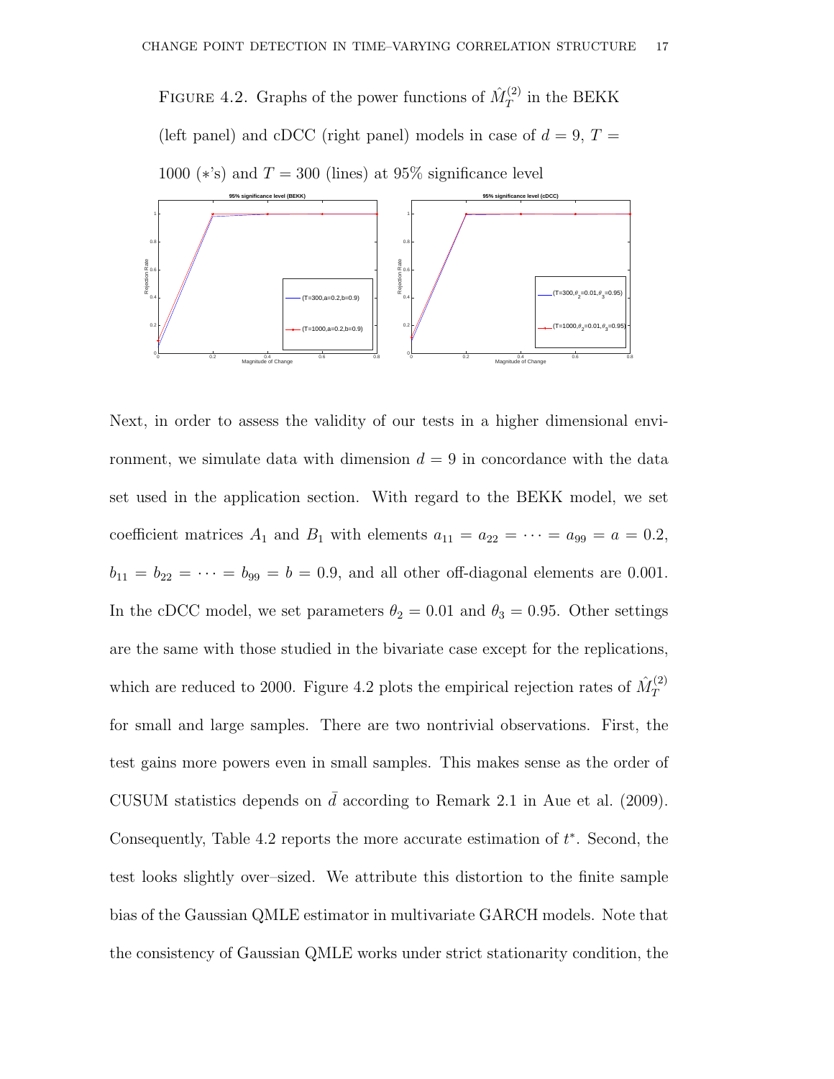FIGURE 4.2. Graphs of the power functions of  $\hat{M}_T^{(2)}$  $T^{(2)}$  in the BEKK (left panel) and cDCC (right panel) models in case of  $d = 9, T =$ 1000 ( $\star$ 's) and  $T = 300$  (lines) at 95% significance level



Next, in order to assess the validity of our tests in a higher dimensional environment, we simulate data with dimension  $d = 9$  in concordance with the data set used in the application section. With regard to the BEKK model, we set coefficient matrices  $A_1$  and  $B_1$  with elements  $a_{11} = a_{22} = \cdots = a_{99} = a = 0.2$ ,  $b_{11} = b_{22} = \cdots = b_{99} = b = 0.9$ , and all other off-diagonal elements are 0.001. In the cDCC model, we set parameters  $\theta_2 = 0.01$  and  $\theta_3 = 0.95$ . Other settings are the same with those studied in the bivariate case except for the replications, which are reduced to 2000. Figure 4.2 plots the empirical rejection rates of  $\hat{M}_T^{(2)}$ T for small and large samples. There are two nontrivial observations. First, the test gains more powers even in small samples. This makes sense as the order of CUSUM statistics depends on  $\bar{d}$  according to Remark 2.1 in Aue et al. (2009). Consequently, Table 4.2 reports the more accurate estimation of  $t^*$ . Second, the test looks slightly over–sized. We attribute this distortion to the finite sample bias of the Gaussian QMLE estimator in multivariate GARCH models. Note that the consistency of Gaussian QMLE works under strict stationarity condition, the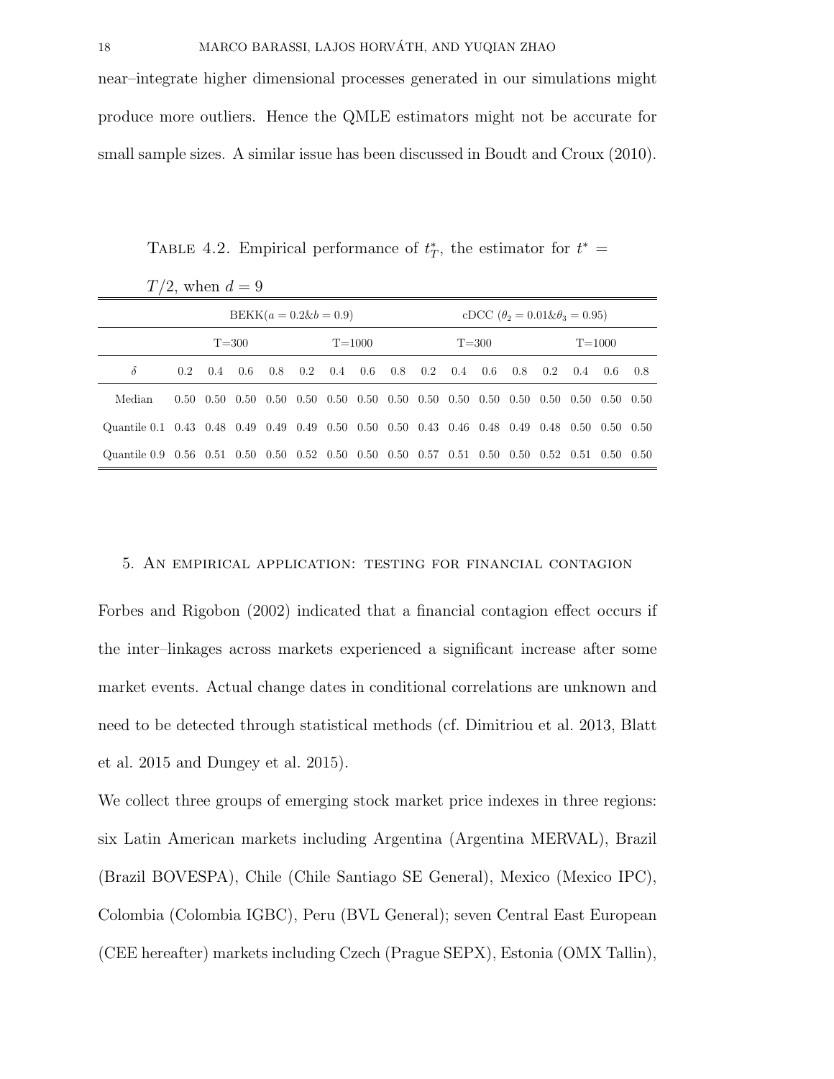near–integrate higher dimensional processes generated in our simulations might produce more outliers. Hence the QMLE estimators might not be accurate for small sample sizes. A similar issue has been discussed in Boudt and Croux (2010).

TABLE 4.2. Empirical performance of  $t^*$ , the estimator for  $t^* =$ 

| $T/2$ , when $d=9$                                                             |                         |               |      |     |     |                                                         |     |           |                 |                                             |     |            |                             |          |           |       |
|--------------------------------------------------------------------------------|-------------------------|---------------|------|-----|-----|---------------------------------------------------------|-----|-----------|-----------------|---------------------------------------------|-----|------------|-----------------------------|----------|-----------|-------|
| $BEKK(a = 0.2 \& b = 0.9)$                                                     |                         |               |      |     |     |                                                         |     |           |                 | cDCC $(\theta_2 = 0.01 \& \theta_3 = 0.95)$ |     |            |                             |          |           |       |
|                                                                                | $T = 300$<br>$T = 1000$ |               |      |     |     |                                                         |     | $T = 300$ |                 |                                             |     | $T = 1000$ |                             |          |           |       |
| $\delta$                                                                       | 0.2                     | $0.4^{\circ}$ | 0.6  | 0.8 | 0.2 | 0.4                                                     | 0.6 |           | $0.8 \quad 0.2$ | 0.4                                         | 0.6 | 0.8        | 0.2                         | 0.4      | 0.6       | - 0.8 |
| Median                                                                         | 0.50                    | - 0.50        | 0.50 |     |     | $0.50$ $0.50$ $0.50$ $0.50$ $0.50$ $0.50$ $0.50$ $0.50$ |     |           |                 |                                             |     | 0.50       | 0.50                        | - 0.50 - | 0.50 0.50 |       |
| Quantile 0.1 0.43 0.48 0.49 0.49 0.49 0.50 0.50 0.50 0.43 0.46 0.48 0.49       |                         |               |      |     |     |                                                         |     |           |                 |                                             |     |            | 0.48 0.50                   |          | 0.50 0.50 |       |
| Quantile 0.9  0.56  0.51  0.50  0.50  0.52  0.50  0.50  0.50  0.57  0.51  0.50 |                         |               |      |     |     |                                                         |     |           |                 |                                             |     | 0.50       | $0.52$ $0.51$ $0.50$ $0.50$ |          |           |       |

#### 5. An empirical application: testing for financial contagion

Forbes and Rigobon (2002) indicated that a financial contagion effect occurs if the inter–linkages across markets experienced a significant increase after some market events. Actual change dates in conditional correlations are unknown and need to be detected through statistical methods (cf. Dimitriou et al. 2013, Blatt et al. 2015 and Dungey et al. 2015).

We collect three groups of emerging stock market price indexes in three regions: six Latin American markets including Argentina (Argentina MERVAL), Brazil (Brazil BOVESPA), Chile (Chile Santiago SE General), Mexico (Mexico IPC), Colombia (Colombia IGBC), Peru (BVL General); seven Central East European (CEE hereafter) markets including Czech (Prague SEPX), Estonia (OMX Tallin),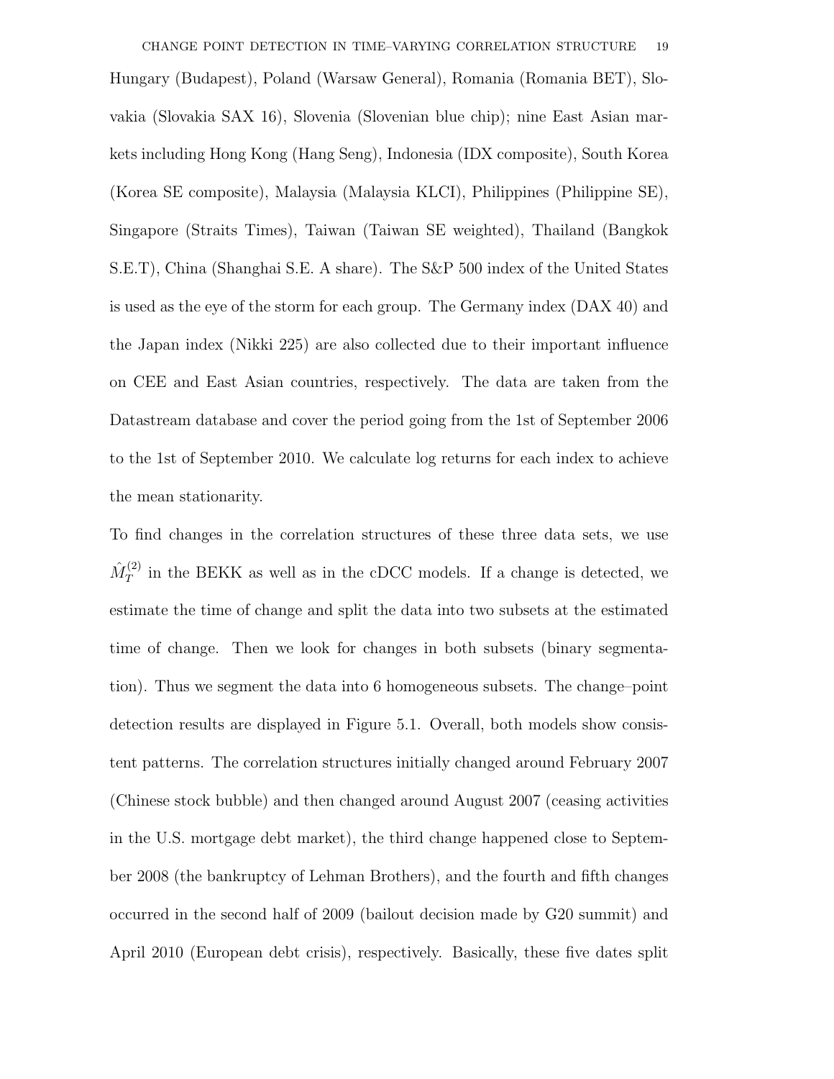CHANGE POINT DETECTION IN TIME–VARYING CORRELATION STRUCTURE 19 Hungary (Budapest), Poland (Warsaw General), Romania (Romania BET), Slovakia (Slovakia SAX 16), Slovenia (Slovenian blue chip); nine East Asian markets including Hong Kong (Hang Seng), Indonesia (IDX composite), South Korea (Korea SE composite), Malaysia (Malaysia KLCI), Philippines (Philippine SE), Singapore (Straits Times), Taiwan (Taiwan SE weighted), Thailand (Bangkok S.E.T), China (Shanghai S.E. A share). The S&P 500 index of the United States is used as the eye of the storm for each group. The Germany index (DAX 40) and the Japan index (Nikki 225) are also collected due to their important influence on CEE and East Asian countries, respectively. The data are taken from the Datastream database and cover the period going from the 1st of September 2006 to the 1st of September 2010. We calculate log returns for each index to achieve the mean stationarity.

To find changes in the correlation structures of these three data sets, we use  $\hat{M}_T^{(2)}$  $T^{(2)}$  in the BEKK as well as in the cDCC models. If a change is detected, we estimate the time of change and split the data into two subsets at the estimated time of change. Then we look for changes in both subsets (binary segmentation). Thus we segment the data into 6 homogeneous subsets. The change–point detection results are displayed in Figure 5.1. Overall, both models show consistent patterns. The correlation structures initially changed around February 2007 (Chinese stock bubble) and then changed around August 2007 (ceasing activities in the U.S. mortgage debt market), the third change happened close to September 2008 (the bankruptcy of Lehman Brothers), and the fourth and fifth changes occurred in the second half of 2009 (bailout decision made by G20 summit) and April 2010 (European debt crisis), respectively. Basically, these five dates split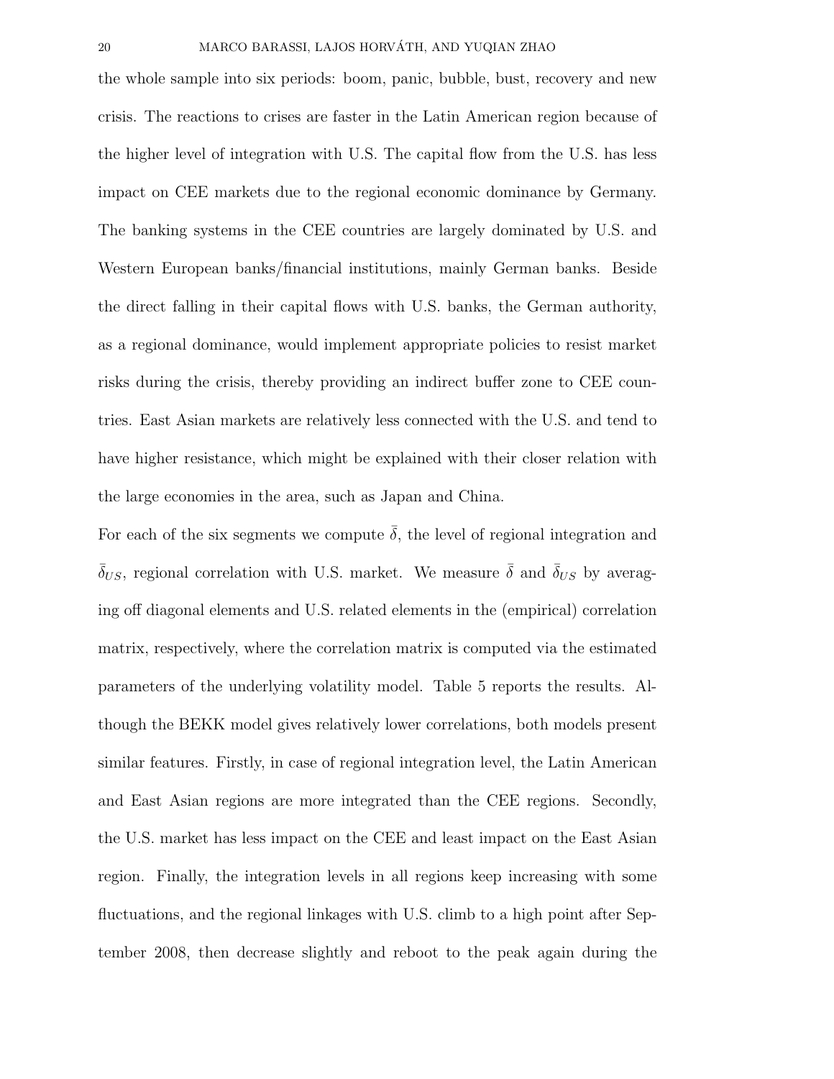the whole sample into six periods: boom, panic, bubble, bust, recovery and new crisis. The reactions to crises are faster in the Latin American region because of the higher level of integration with U.S. The capital flow from the U.S. has less impact on CEE markets due to the regional economic dominance by Germany. The banking systems in the CEE countries are largely dominated by U.S. and Western European banks/financial institutions, mainly German banks. Beside the direct falling in their capital flows with U.S. banks, the German authority, as a regional dominance, would implement appropriate policies to resist market risks during the crisis, thereby providing an indirect buffer zone to CEE countries. East Asian markets are relatively less connected with the U.S. and tend to have higher resistance, which might be explained with their closer relation with the large economies in the area, such as Japan and China.

For each of the six segments we compute  $\overline{\delta}$ , the level of regional integration and  $\bar{\delta}_{US}$ , regional correlation with U.S. market. We measure  $\bar{\delta}$  and  $\bar{\delta}_{US}$  by averaging off diagonal elements and U.S. related elements in the (empirical) correlation matrix, respectively, where the correlation matrix is computed via the estimated parameters of the underlying volatility model. Table 5 reports the results. Although the BEKK model gives relatively lower correlations, both models present similar features. Firstly, in case of regional integration level, the Latin American and East Asian regions are more integrated than the CEE regions. Secondly, the U.S. market has less impact on the CEE and least impact on the East Asian region. Finally, the integration levels in all regions keep increasing with some fluctuations, and the regional linkages with U.S. climb to a high point after September 2008, then decrease slightly and reboot to the peak again during the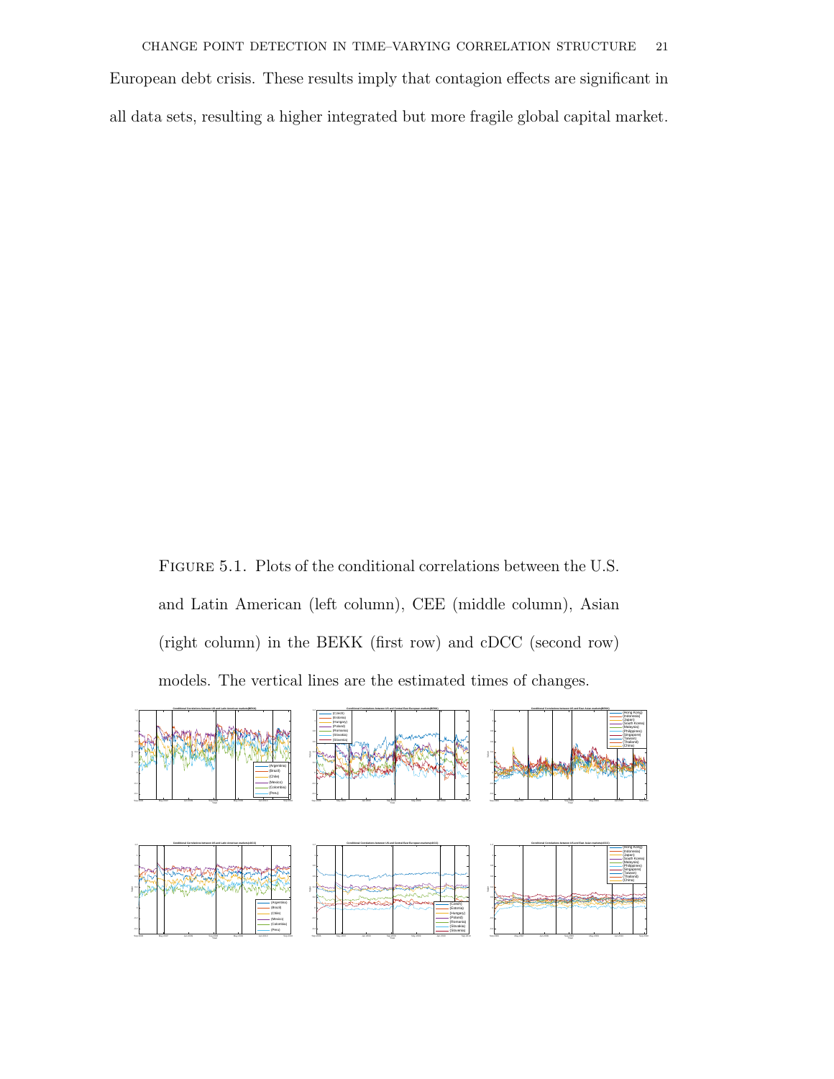European debt crisis. These results imply that contagion effects are significant in all data sets, resulting a higher integrated but more fragile global capital market.

Figure 5.1. Plots of the conditional correlations between the U.S. and Latin American (left column), CEE (middle column), Asian (right column) in the BEKK (first row) and cDCC (second row) models. The vertical lines are the estimated times of changes.

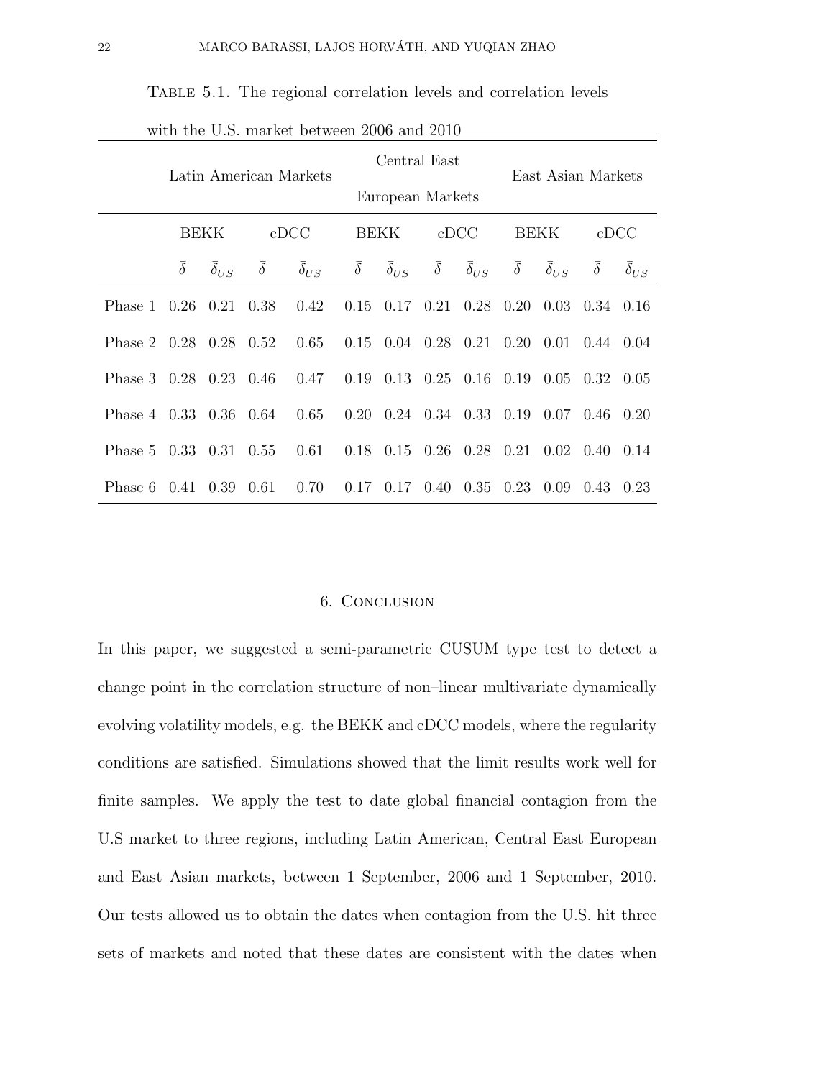| with the U.S. market between 2006 and 2010 |                     |                     |                     |                        |                     |                                    |                      |                     |                     |                     |                              |               |  |
|--------------------------------------------|---------------------|---------------------|---------------------|------------------------|---------------------|------------------------------------|----------------------|---------------------|---------------------|---------------------|------------------------------|---------------|--|
|                                            |                     |                     |                     | Latin American Markets |                     | Central East<br>European Markets   |                      |                     | East Asian Markets  |                     |                              |               |  |
|                                            | BEKK                |                     |                     | cDCC                   |                     | <b>BEKK</b>                        | cDCC                 |                     | <b>BEKK</b>         |                     | $_{\rm cDCC}$                |               |  |
|                                            | $\overline{\delta}$ | $\bar{\delta}_{US}$ | $\overline{\delta}$ | $\bar{\delta}_{US}$    | $\overline{\delta}$ | $\bar{\delta}_{US}$                | $\overline{\delta}$  | $\bar{\delta}_{US}$ | $\overline{\delta}$ | $\bar{\delta}_{US}$ | $\overline{\delta}$          | $\delta_{US}$ |  |
| Phase 1                                    | 0.26                | 0.21                | 0.38                | 0.42                   | 0.15                |                                    | $0.17 \quad 0.21$    | 0.28                | 0.20                |                     | $0.03 \quad 0.34$            | 0.16          |  |
| Phase 2 0.28 0.28                          |                     |                     | 0.52                | 0.65                   | 0.15                | $0.04$ $0.28$ $0.21$ $0.20$ $0.01$ |                      |                     |                     |                     | $0.44 \quad 0.04$            |               |  |
| Phase $3 \quad 0.28$                       |                     | 0.23                | 0.46                | 0.47                   | 0.19                |                                    | $0.13$ $0.25$ $0.16$ |                     | 0.19                |                     | $0.05 \quad 0.32$            | 0.05          |  |
| Phase 4 0.33 0.36                          |                     |                     | 0.64                | 0.65                   | 0.20                |                                    | $0.24$ $0.34$ $0.33$ |                     | 0.19                | $0.07$ 0.46         |                              | 0.20          |  |
| Phase 5                                    | 0.33                | 0.31                | 0.55                | 0.61                   | 0.18                |                                    | $0.15 \quad 0.26$    | 0.28                | 0.21                |                     | $0.02 \quad 0.40 \quad 0.14$ |               |  |
| Phase 6                                    | 0.41                | 0.39                | 0.61                | 0.70                   | 0.17                |                                    | $0.17 \quad 0.40$    | 0.35                | 0.23                | 0.09                | 0.43                         | 0.23          |  |

TABLE 5.1. The regional correlation levels and correlation levels

#### 6. Conclusion

In this paper, we suggested a semi-parametric CUSUM type test to detect a change point in the correlation structure of non–linear multivariate dynamically evolving volatility models, e.g. the BEKK and cDCC models, where the regularity conditions are satisfied. Simulations showed that the limit results work well for finite samples. We apply the test to date global financial contagion from the U.S market to three regions, including Latin American, Central East European and East Asian markets, between 1 September, 2006 and 1 September, 2010. Our tests allowed us to obtain the dates when contagion from the U.S. hit three sets of markets and noted that these dates are consistent with the dates when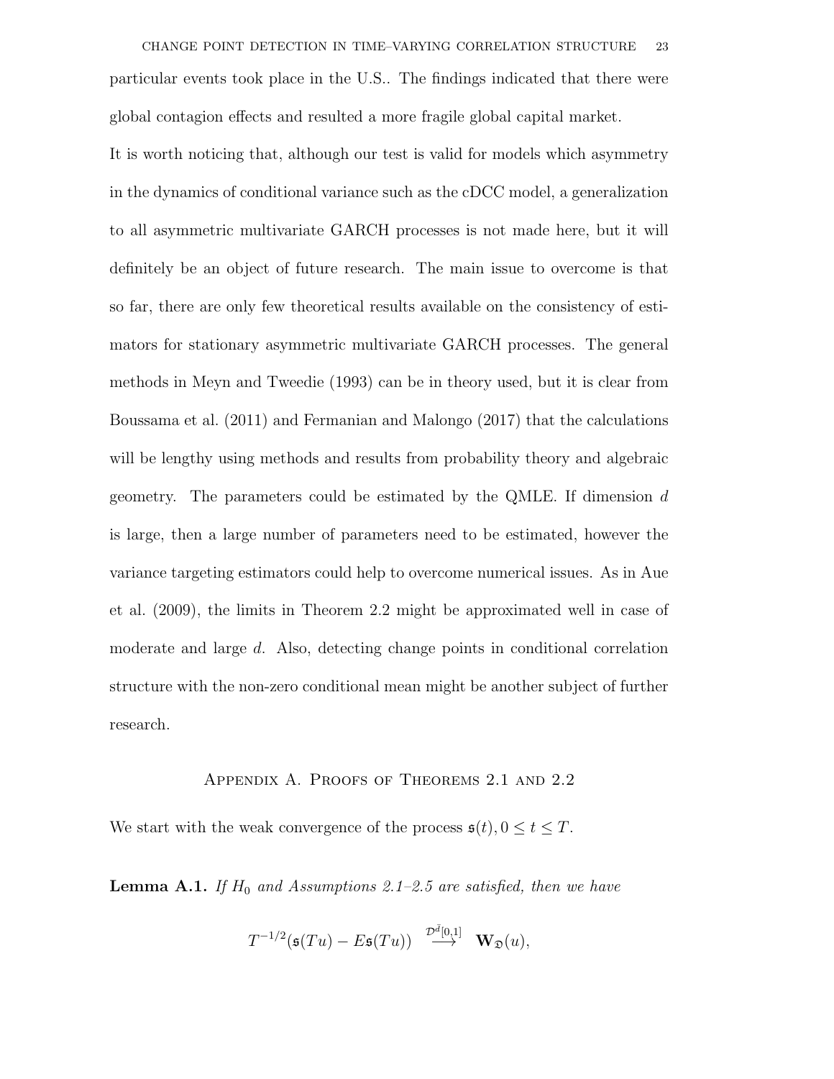CHANGE POINT DETECTION IN TIME–VARYING CORRELATION STRUCTURE 23 particular events took place in the U.S.. The findings indicated that there were global contagion effects and resulted a more fragile global capital market.

It is worth noticing that, although our test is valid for models which asymmetry in the dynamics of conditional variance such as the cDCC model, a generalization to all asymmetric multivariate GARCH processes is not made here, but it will definitely be an object of future research. The main issue to overcome is that so far, there are only few theoretical results available on the consistency of estimators for stationary asymmetric multivariate GARCH processes. The general methods in Meyn and Tweedie (1993) can be in theory used, but it is clear from Boussama et al. (2011) and Fermanian and Malongo (2017) that the calculations will be lengthy using methods and results from probability theory and algebraic geometry. The parameters could be estimated by the QMLE. If dimension  $d$ is large, then a large number of parameters need to be estimated, however the variance targeting estimators could help to overcome numerical issues. As in Aue et al. (2009), the limits in Theorem 2.2 might be approximated well in case of moderate and large d. Also, detecting change points in conditional correlation structure with the non-zero conditional mean might be another subject of further research.

#### Appendix A. Proofs of Theorems 2.1 and 2.2

We start with the weak convergence of the process  $\mathfrak{s}(t)$ ,  $0 \le t \le T$ .

**Lemma A.1.** If  $H_0$  and Assumptions 2.1–2.5 are satisfied, then we have

$$
T^{-1/2}(\mathfrak{s}(Tu)-E\mathfrak{s}(Tu))\ \stackrel{\mathcal{D}^{\bar{d}}[0,1]}{\longrightarrow}\ \mathbf{W}_{\mathfrak{D}}(u),
$$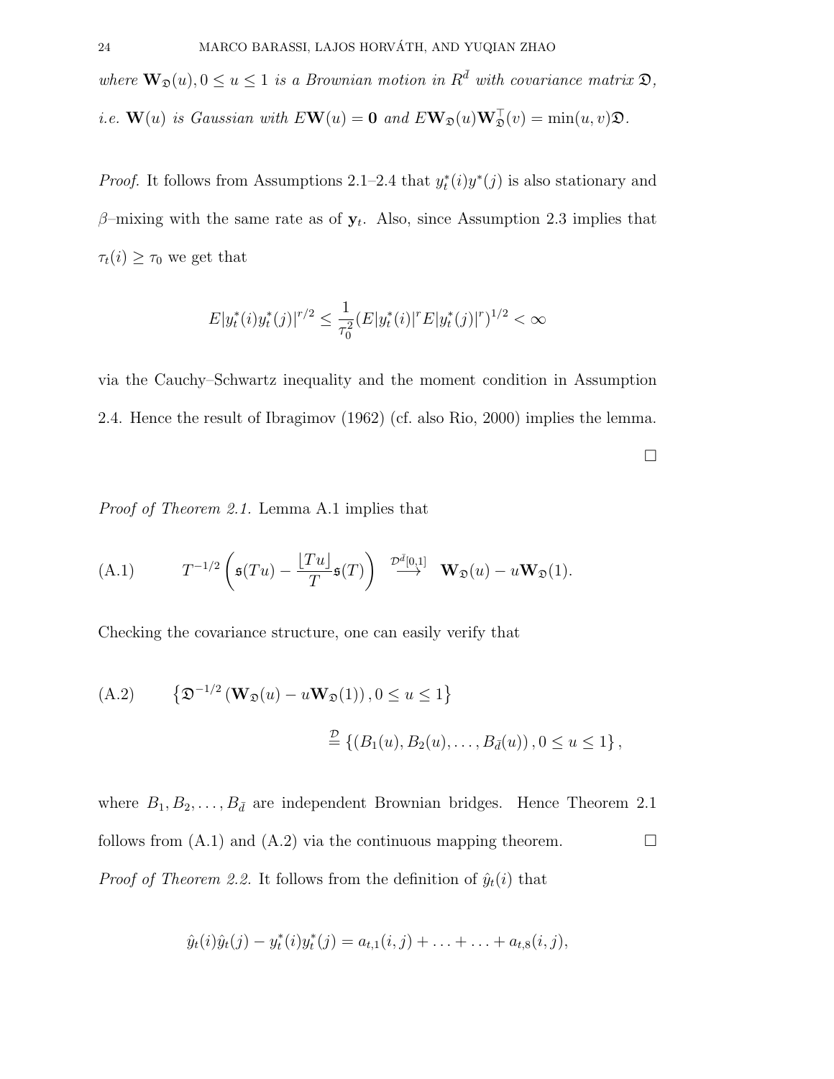where  $\mathbf{W}_{\mathfrak{D}}(u)$ ,  $0 \le u \le 1$  is a Brownian motion in  $R^{\overline{d}}$  with covariance matrix  $\mathfrak{D}$ ,

*i.e.*  $\mathbf{W}(u)$  is Gaussian with  $E\mathbf{W}(u) = \mathbf{0}$  and  $E\mathbf{W}_{\mathfrak{D}}(u)\mathbf{W}_{\mathfrak{D}}^{\top}(v) = \min(u, v)\mathfrak{D}$ .

*Proof.* It follows from Assumptions 2.1–2.4 that  $y_t^*(i)y^*(j)$  is also stationary and  $\beta$ -mixing with the same rate as of  $y_t$ . Also, since Assumption 2.3 implies that  $\tau_t(i) \geq \tau_0$  we get that

$$
E|y_t^*(i)y_t^*(j)|^{r/2} \le \frac{1}{\tau_0^2} (E|y_t^*(i)|^r E|y_t^*(j)|^r)^{1/2} < \infty
$$

via the Cauchy–Schwartz inequality and the moment condition in Assumption 2.4. Hence the result of Ibragimov (1962) (cf. also Rio, 2000) implies the lemma.

 $\Box$ 

Proof of Theorem 2.1. Lemma A.1 implies that

(A.1) 
$$
T^{-1/2}\left(\mathfrak{s}(Tu)-\frac{\lfloor Tu \rfloor}{T}\mathfrak{s}(T)\right) \stackrel{\mathcal{D}^{\bar{d}}[0,1]}{\longrightarrow} \mathbf{W}_{\mathfrak{D}}(u)-u\mathbf{W}_{\mathfrak{D}}(1).
$$

Checking the covariance structure, one can easily verify that

(A.2) 
$$
\{\mathfrak{D}^{-1/2}(\mathbf{W}_{\mathfrak{D}}(u) - u\mathbf{W}_{\mathfrak{D}}(1)), 0 \le u \le 1\}
$$
  

$$
\stackrel{\mathcal{D}}{=} \{(B_1(u), B_2(u), \dots, B_{\bar{d}}(u)), 0 \le u \le 1\},
$$

where  $B_1, B_2, \ldots, B_{\bar{d}}$  are independent Brownian bridges. Hence Theorem 2.1 follows from  $(A.1)$  and  $(A.2)$  via the continuous mapping theorem. *Proof of Theorem 2.2.* It follows from the definition of  $\hat{y}_t(i)$  that

$$
\hat{y}_t(i)\hat{y}_t(j) - y_t^*(i)y_t^*(j) = a_{t,1}(i,j) + \ldots + \ldots + a_{t,8}(i,j),
$$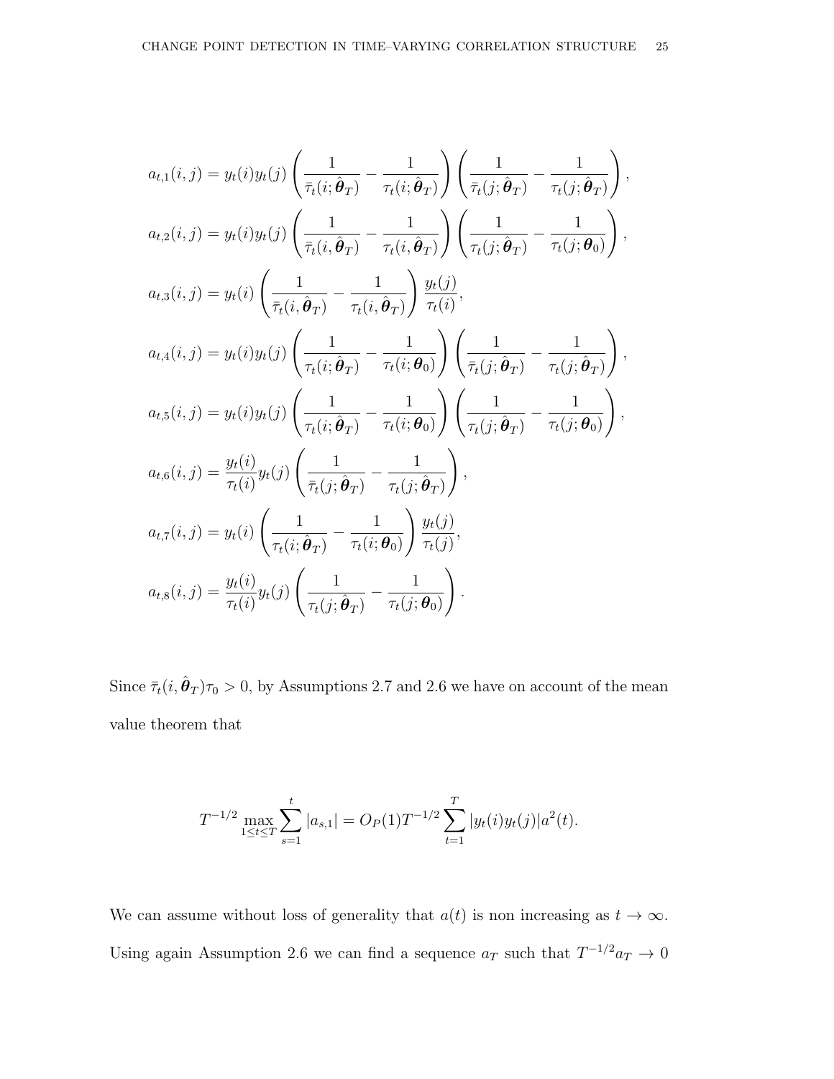$$
a_{t,1}(i,j) = y_t(i)y_t(j)\left(\frac{1}{\bar{\tau}_t(i;\hat{\theta}_T)} - \frac{1}{\tau_t(i;\hat{\theta}_T)}\right)\left(\frac{1}{\bar{\tau}_t(j;\hat{\theta}_T)} - \frac{1}{\tau_t(j;\hat{\theta}_T)}\right),
$$
  
\n
$$
a_{t,2}(i,j) = y_t(i)y_t(j)\left(\frac{1}{\bar{\tau}_t(i,\hat{\theta}_T)} - \frac{1}{\tau_t(i,\hat{\theta}_T)}\right)\left(\frac{1}{\tau_t(j;\hat{\theta}_T)} - \frac{1}{\tau_t(j;\theta_0)}\right),
$$
  
\n
$$
a_{t,3}(i,j) = y_t(i)\left(\frac{1}{\bar{\tau}_t(i,\hat{\theta}_T)} - \frac{1}{\tau_t(i,\hat{\theta}_T)}\right)\frac{y_t(j)}{\tau_t(i)},
$$
  
\n
$$
a_{t,4}(i,j) = y_t(i)y_t(j)\left(\frac{1}{\tau_t(i;\hat{\theta}_T)} - \frac{1}{\tau_t(i;\theta_0)}\right)\left(\frac{1}{\bar{\tau}_t(j;\hat{\theta}_T)} - \frac{1}{\tau_t(j;\hat{\theta}_T)}\right),
$$
  
\n
$$
a_{t,5}(i,j) = y_t(i)y_t(j)\left(\frac{1}{\tau_t(i;\hat{\theta}_T)} - \frac{1}{\tau_t(i;\theta_0)}\right)\left(\frac{1}{\tau_t(j;\hat{\theta}_T)} - \frac{1}{\tau_t(j;\theta_0)}\right),
$$
  
\n
$$
a_{t,6}(i,j) = \frac{y_t(i)}{\tau_t(i)}y_t(j)\left(\frac{1}{\bar{\tau}_t(j;\hat{\theta}_T)} - \frac{1}{\tau_t(j;\hat{\theta}_T)}\right),
$$
  
\n
$$
a_{t,7}(i,j) = y_t(i)\left(\frac{1}{\tau_t(i;\hat{\theta}_T)} - \frac{1}{\tau_t(i;\theta_0)}\right)\frac{y_t(j)}{\tau_t(j)},
$$
  
\n
$$
a_{t,8}(i,j) = \frac{y_t(i)}{\tau_t(i)}y_t(j)\left(\frac{1}{\tau_t(j;\hat{\theta}_T)} - \frac{1}{\tau_t(j;\theta_0)}\right).
$$

Since  $\bar{\tau}_t(i, \hat{\theta}_T)\tau_0 > 0$ , by Assumptions 2.7 and 2.6 we have on account of the mean value theorem that

$$
T^{-1/2} \max_{1 \le t \le T} \sum_{s=1}^t |a_{s,1}| = O_P(1) T^{-1/2} \sum_{t=1}^T |y_t(i)y_t(j)| a^2(t).
$$

We can assume without loss of generality that  $a(t)$  is non increasing as  $t \to \infty$ . Using again Assumption 2.6 we can find a sequence  $a_T$  such that  $T^{-1/2}a_T \to 0$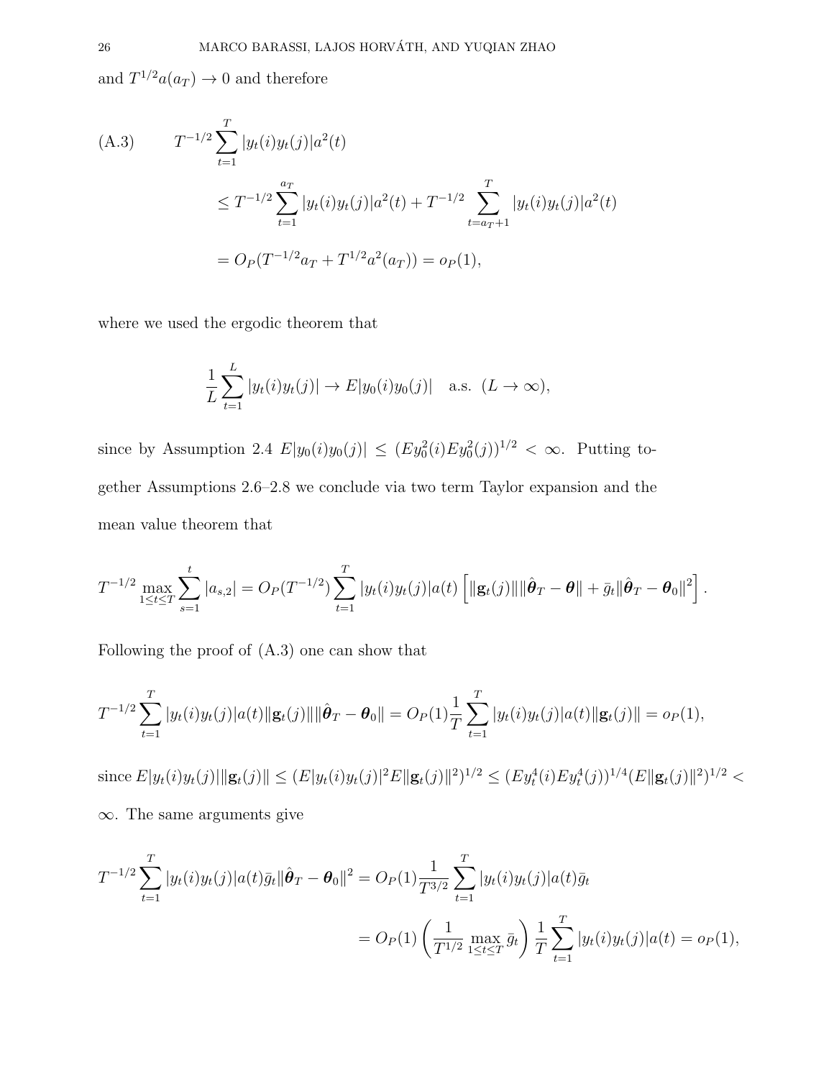and  $T^{1/2}a(a_T) \to 0$  and therefore

(A.3) 
$$
T^{-1/2} \sum_{t=1}^{T} |y_t(i)y_t(j)|a^2(t)
$$
  
\n
$$
\leq T^{-1/2} \sum_{t=1}^{a_T} |y_t(i)y_t(j)|a^2(t) + T^{-1/2} \sum_{t=a_T+1}^{T} |y_t(i)y_t(j)|a^2(t)
$$
  
\n
$$
= O_P(T^{-1/2}a_T + T^{1/2}a^2(a_T)) = o_P(1),
$$

where we used the ergodic theorem that

$$
\frac{1}{L}\sum_{t=1}^{L}|y_t(i)y_t(j)| \to E|y_0(i)y_0(j)| \quad \text{a.s. } (L \to \infty),
$$

since by Assumption 2.4  $E|y_0(i)y_0(j)| \leq (Ey_0^2(i)Ey_0^2(j))^{1/2} < \infty$ . Putting together Assumptions 2.6–2.8 we conclude via two term Taylor expansion and the mean value theorem that

$$
T^{-1/2}\max_{1\leq t\leq T}\sum_{s=1}^t|a_{s,2}|=O_P(T^{-1/2})\sum_{t=1}^T|y_t(i)y_t(j)|a(t)\left[\|\mathbf{g}_t(j)\|\|\hat{\boldsymbol{\theta}}_T-\boldsymbol{\theta}\|+\bar{g}_t\|\hat{\boldsymbol{\theta}}_T-\boldsymbol{\theta}_0\|^2\right].
$$

Following the proof of (A.3) one can show that

$$
T^{-1/2} \sum_{t=1}^T |y_t(i)y_t(j)|a(t)||\mathbf{g}_t(j)||\|\hat{\boldsymbol{\theta}}_T - \boldsymbol{\theta}_0\| = O_P(1)\frac{1}{T} \sum_{t=1}^T |y_t(i)y_t(j)|a(t)||\mathbf{g}_t(j)|| = o_P(1),
$$

since  $E|y_t(i)y_t(j)| \|\mathbf{g}_t(j)\| \le (E|y_t(i)y_t(j)|^2 E \|\mathbf{g}_t(j)\|^2)^{1/2} \le (Ey_t^4(i)Ey_t^4(j))^{1/4}(E \| \mathbf{g}_t(j)\|^2)^{1/2} <$ 

∞. The same arguments give

$$
T^{-1/2} \sum_{t=1}^{T} |y_t(i)y_t(j)|a(t)\bar{g}_t||\hat{\theta}_T - \theta_0||^2 = O_P(1)\frac{1}{T^{3/2}} \sum_{t=1}^{T} |y_t(i)y_t(j)|a(t)\bar{g}_t
$$
  
=  $O_P(1) \left(\frac{1}{T^{1/2}} \max_{1 \le t \le T} \bar{g}_t\right) \frac{1}{T} \sum_{t=1}^{T} |y_t(i)y_t(j)|a(t) = o_P(1),$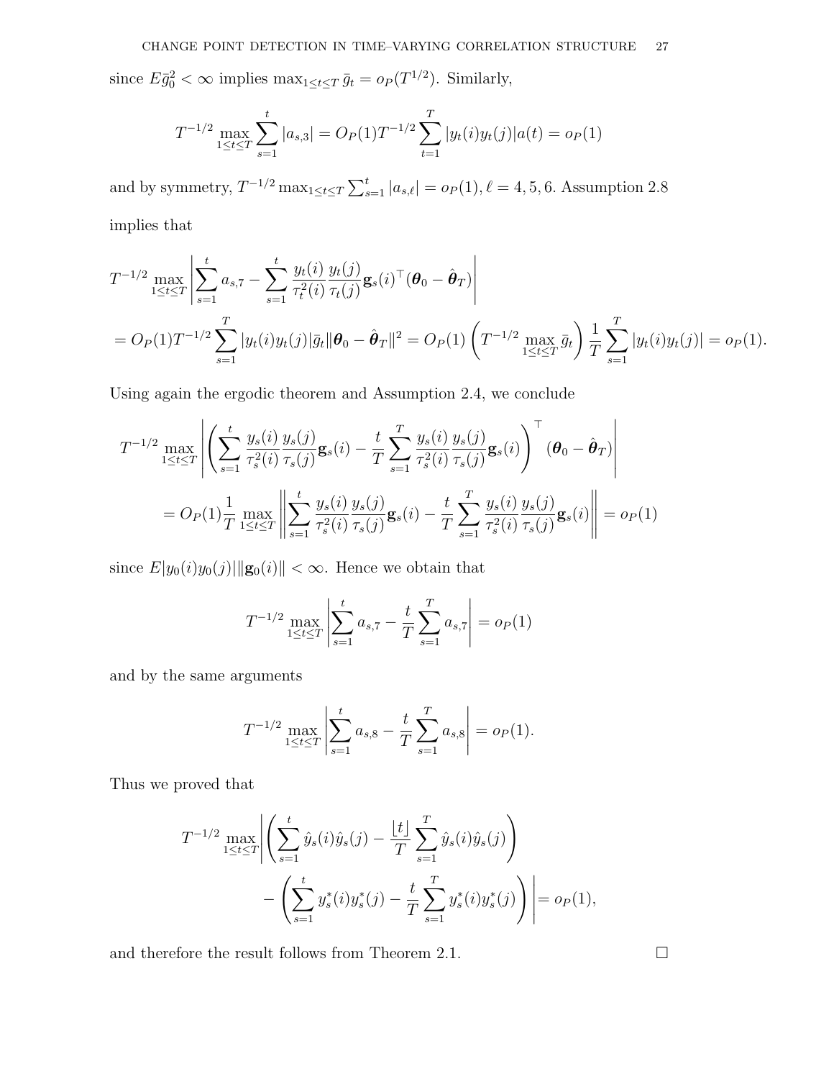since  $E\bar{g}_0^2 < \infty$  implies  $\max_{1 \le t \le T} \bar{g}_t = o_P(T^{1/2})$ . Similarly,

$$
T^{-1/2} \max_{1 \le t \le T} \sum_{s=1}^t |a_{s,3}| = O_P(1) T^{-1/2} \sum_{t=1}^T |y_t(i)y_t(j)| a(t) = o_P(1)
$$

and by symmetry,  $T^{-1/2} \max_{1 \le t \le T} \sum_{s=1}^{t} |a_{s,\ell}| = o_P(1), \ell = 4, 5, 6$ . Assumption 2.8 implies that

$$
T^{-1/2} \max_{1 \leq t \leq T} \left| \sum_{s=1}^{t} a_{s,7} - \sum_{s=1}^{t} \frac{y_t(i)}{\tau_t^2(i)} \frac{y_t(j)}{\tau_t(j)} \mathbf{g}_s(i)^\top (\boldsymbol{\theta}_0 - \hat{\boldsymbol{\theta}}_T) \right|
$$
  
=  $O_P(1) T^{-1/2} \sum_{s=1}^{T} |y_t(i)y_t(j)| \bar{g}_t || \boldsymbol{\theta}_0 - \hat{\boldsymbol{\theta}}_T ||^2 = O_P(1) \left( T^{-1/2} \max_{1 \leq t \leq T} \bar{g}_t \right) \frac{1}{T} \sum_{s=1}^{T} |y_t(i)y_t(j)| = o_P(1).$ 

Using again the ergodic theorem and Assumption 2.4, we conclude

$$
T^{-1/2} \max_{1 \le t \le T} \left| \left( \sum_{s=1}^{t} \frac{y_s(i)}{\tau_s^2(i)} \frac{y_s(j)}{\tau_s(j)} \mathbf{g}_s(i) - \frac{t}{T} \sum_{s=1}^{T} \frac{y_s(i)}{\tau_s^2(i)} \frac{y_s(j)}{\tau_s(j)} \mathbf{g}_s(i) \right)^{\top} (\boldsymbol{\theta}_0 - \hat{\boldsymbol{\theta}}_T) \right|
$$
  
=  $O_P(1) \frac{1}{T} \max_{1 \le t \le T} \left\| \sum_{s=1}^{t} \frac{y_s(i)}{\tau_s^2(i)} \frac{y_s(j)}{\tau_s(j)} \mathbf{g}_s(i) - \frac{t}{T} \sum_{s=1}^{T} \frac{y_s(i)}{\tau_s^2(i)} \frac{y_s(j)}{\tau_s(j)} \mathbf{g}_s(i) \right\| = o_P(1)$ 

since  $E|y_0(i)y_0(j)||\mathbf{g}_0(i)|| < \infty$ . Hence we obtain that

$$
T^{-1/2} \max_{1 \le t \le T} \left| \sum_{s=1}^{t} a_{s,7} - \frac{t}{T} \sum_{s=1}^{T} a_{s,7} \right| = o_P(1)
$$

and by the same arguments

$$
T^{-1/2} \max_{1 \le t \le T} \left| \sum_{s=1}^{t} a_{s,8} - \frac{t}{T} \sum_{s=1}^{T} a_{s,8} \right| = o_P(1).
$$

Thus we proved that

$$
T^{-1/2} \max_{1 \le t \le T} \left| \left( \sum_{s=1}^t \hat{y}_s(i) \hat{y}_s(j) - \frac{\lfloor t \rfloor}{T} \sum_{s=1}^T \hat{y}_s(i) \hat{y}_s(j) \right) - \left( \sum_{s=1}^t y_s^*(i) y_s^*(j) - \frac{t}{T} \sum_{s=1}^T y_s^*(i) y_s^*(j) \right) \right| = o_P(1),
$$

and therefore the result follows from Theorem 2.1.  $\Box$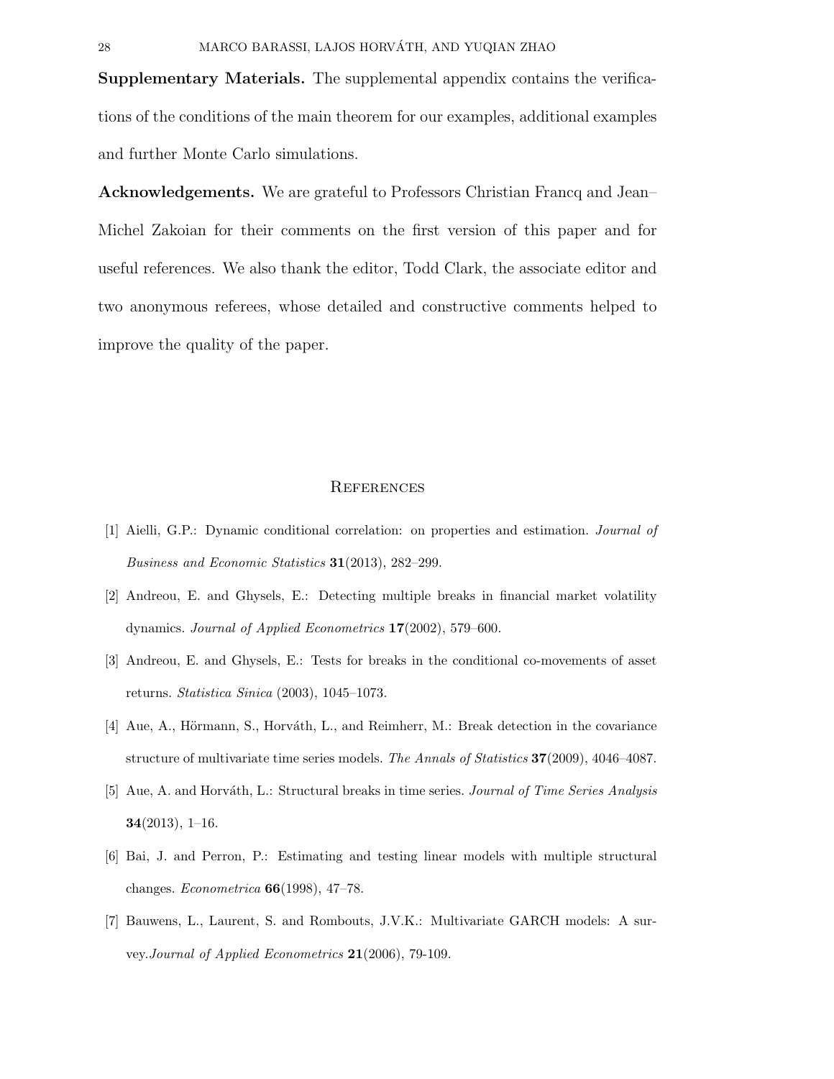Supplementary Materials. The supplemental appendix contains the verifications of the conditions of the main theorem for our examples, additional examples and further Monte Carlo simulations.

Acknowledgements. We are grateful to Professors Christian Francq and Jean– Michel Zakoian for their comments on the first version of this paper and for useful references. We also thank the editor, Todd Clark, the associate editor and two anonymous referees, whose detailed and constructive comments helped to improve the quality of the paper.

#### **REFERENCES**

- [1] Aielli, G.P.: Dynamic conditional correlation: on properties and estimation. Journal of Business and Economic Statistics 31(2013), 282–299.
- [2] Andreou, E. and Ghysels, E.: Detecting multiple breaks in financial market volatility dynamics. Journal of Applied Econometrics 17(2002), 579–600.
- [3] Andreou, E. and Ghysels, E.: Tests for breaks in the conditional co-movements of asset returns. Statistica Sinica (2003), 1045–1073.
- [4] Aue, A., Hörmann, S., Horváth, L., and Reimherr, M.: Break detection in the covariance structure of multivariate time series models. The Annals of Statistics 37(2009), 4046–4087.
- [5] Aue, A. and Horváth, L.: Structural breaks in time series. *Journal of Time Series Analysis* 34(2013), 1–16.
- [6] Bai, J. and Perron, P.: Estimating and testing linear models with multiple structural changes. Econometrica 66(1998), 47–78.
- [7] Bauwens, L., Laurent, S. and Rombouts, J.V.K.: Multivariate GARCH models: A survey.Journal of Applied Econometrics 21(2006), 79-109.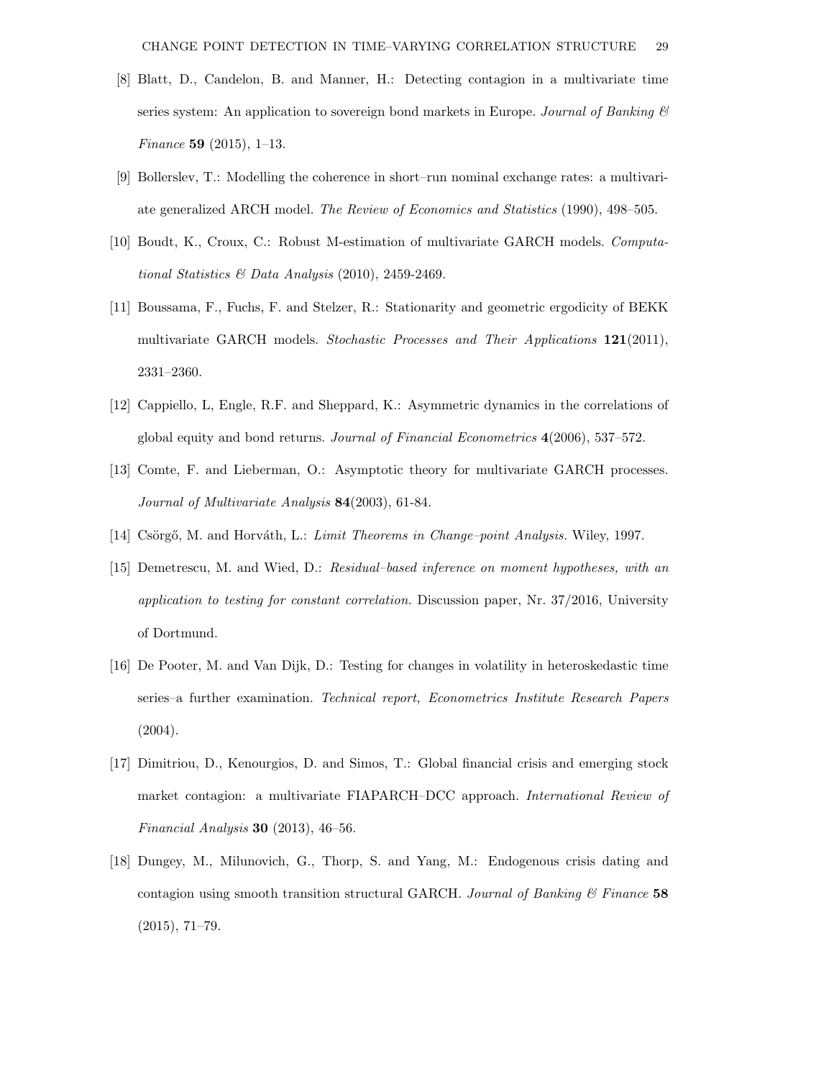- [8] Blatt, D., Candelon, B. and Manner, H.: Detecting contagion in a multivariate time series system: An application to sovereign bond markets in Europe. Journal of Banking  $\mathcal C$ Finance 59 (2015), 1–13.
- [9] Bollerslev, T.: Modelling the coherence in short–run nominal exchange rates: a multivariate generalized ARCH model. The Review of Economics and Statistics (1990), 498–505.
- [10] Boudt, K., Croux, C.: Robust M-estimation of multivariate GARCH models. Computational Statistics & Data Analysis (2010), 2459-2469.
- [11] Boussama, F., Fuchs, F. and Stelzer, R.: Stationarity and geometric ergodicity of BEKK multivariate GARCH models. Stochastic Processes and Their Applications 121(2011), 2331–2360.
- [12] Cappiello, L, Engle, R.F. and Sheppard, K.: Asymmetric dynamics in the correlations of global equity and bond returns. Journal of Financial Econometrics 4(2006), 537–572.
- [13] Comte, F. and Lieberman, O.: Asymptotic theory for multivariate GARCH processes. Journal of Multivariate Analysis 84(2003), 61-84.
- [14] Csörgő, M. and Horváth, L.: Limit Theorems in Change–point Analysis. Wiley, 1997.
- [15] Demetrescu, M. and Wied, D.: Residual–based inference on moment hypotheses, with an application to testing for constant correlation. Discussion paper, Nr. 37/2016, University of Dortmund.
- [16] De Pooter, M. and Van Dijk, D.: Testing for changes in volatility in heteroskedastic time series–a further examination. Technical report, Econometrics Institute Research Papers  $(2004).$
- [17] Dimitriou, D., Kenourgios, D. and Simos, T.: Global financial crisis and emerging stock market contagion: a multivariate FIAPARCH–DCC approach. International Review of Financial Analysis 30 (2013), 46–56.
- [18] Dungey, M., Milunovich, G., Thorp, S. and Yang, M.: Endogenous crisis dating and contagion using smooth transition structural GARCH. Journal of Banking  $\mathcal C$  Finance 58 (2015), 71–79.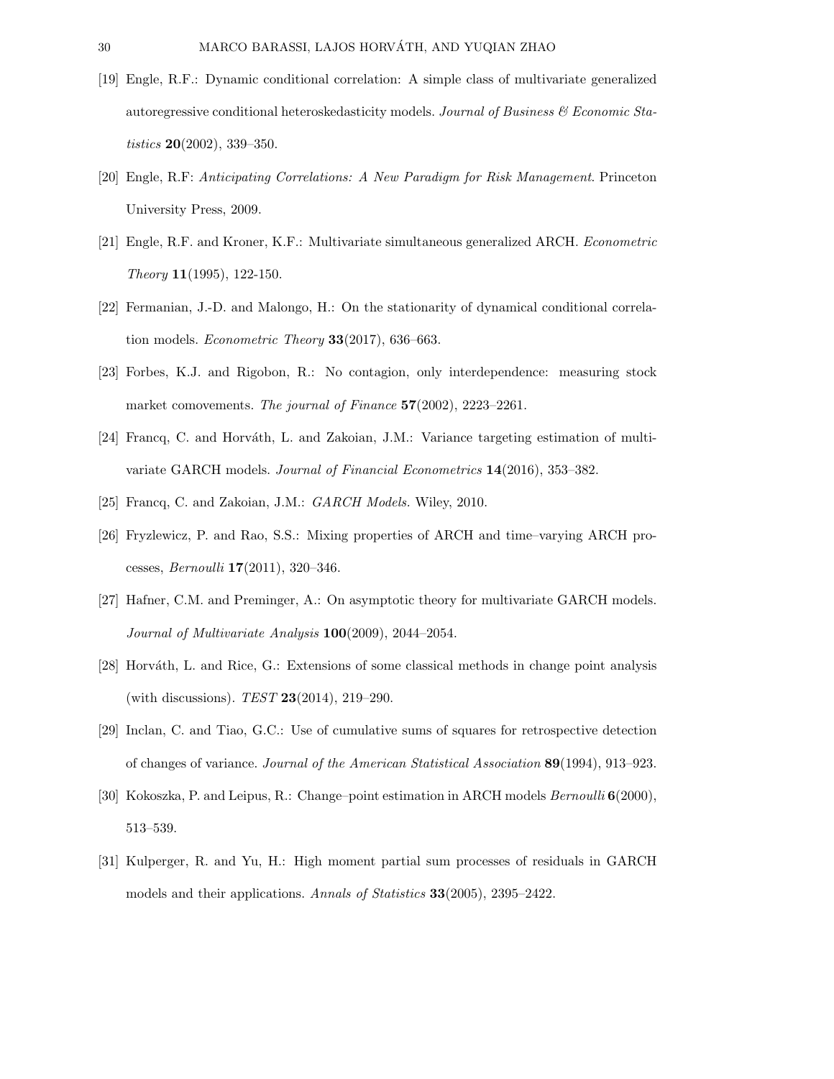- [19] Engle, R.F.: Dynamic conditional correlation: A simple class of multivariate generalized autoregressive conditional heteroskedasticity models. Journal of Business  $\mathcal C$  Economic Statistics 20(2002), 339–350.
- [20] Engle, R.F: Anticipating Correlations: A New Paradigm for Risk Management. Princeton University Press, 2009.
- [21] Engle, R.F. and Kroner, K.F.: Multivariate simultaneous generalized ARCH. Econometric Theory 11(1995), 122-150.
- [22] Fermanian, J.-D. and Malongo, H.: On the stationarity of dynamical conditional correlation models. Econometric Theory 33(2017), 636–663.
- [23] Forbes, K.J. and Rigobon, R.: No contagion, only interdependence: measuring stock market comovements. The journal of Finance 57(2002), 2223-2261.
- [24] Francq, C. and Horváth, L. and Zakoian, J.M.: Variance targeting estimation of multivariate GARCH models. Journal of Financial Econometrics 14(2016), 353–382.
- [25] Francq, C. and Zakoian, J.M.: *GARCH Models*. Wiley, 2010.
- [26] Fryzlewicz, P. and Rao, S.S.: Mixing properties of ARCH and time–varying ARCH processes, Bernoulli 17(2011), 320–346.
- [27] Hafner, C.M. and Preminger, A.: On asymptotic theory for multivariate GARCH models. Journal of Multivariate Analysis 100(2009), 2044–2054.
- [28] Horváth, L. and Rice, G.: Extensions of some classical methods in change point analysis (with discussions).  $TEST 23(2014), 219-290.$
- [29] Inclan, C. and Tiao, G.C.: Use of cumulative sums of squares for retrospective detection of changes of variance. Journal of the American Statistical Association 89(1994), 913–923.
- [30] Kokoszka, P. and Leipus, R.: Change–point estimation in ARCH models Bernoulli 6(2000), 513–539.
- [31] Kulperger, R. and Yu, H.: High moment partial sum processes of residuals in GARCH models and their applications. Annals of Statistics 33(2005), 2395–2422.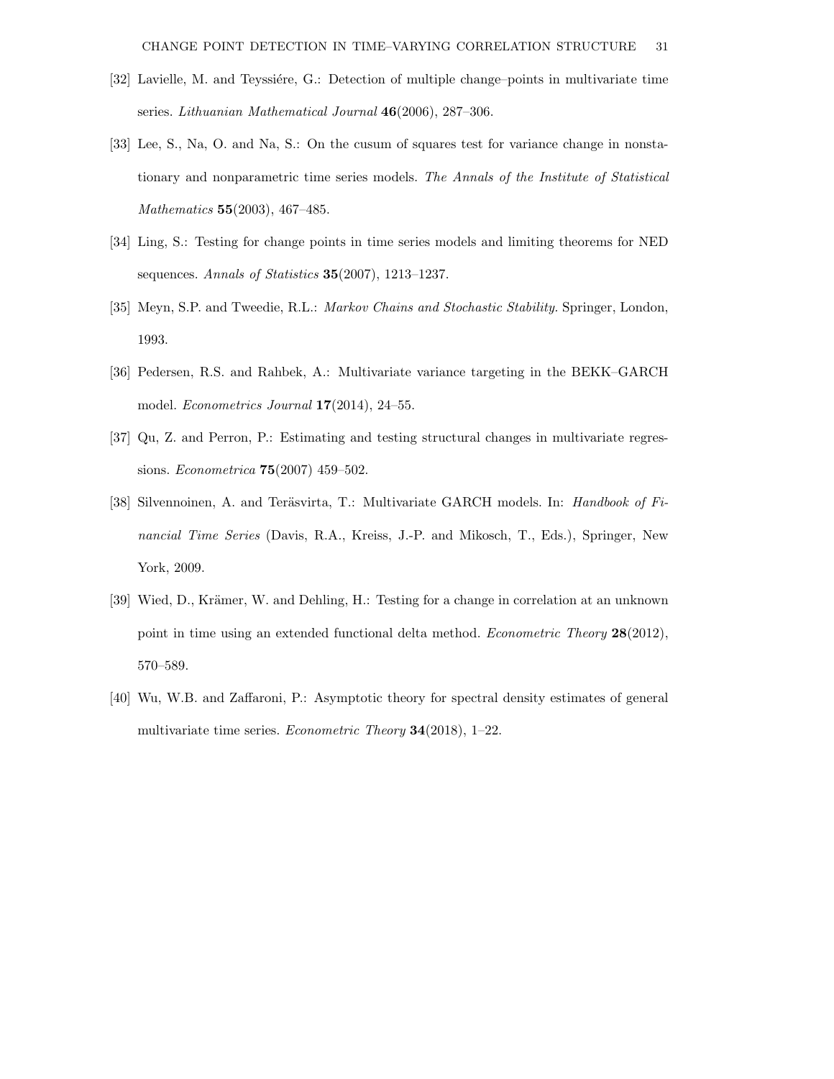- [32] Lavielle, M. and Teyssiére, G.: Detection of multiple change–points in multivariate time series. Lithuanian Mathematical Journal 46(2006), 287–306.
- [33] Lee, S., Na, O. and Na, S.: On the cusum of squares test for variance change in nonstationary and nonparametric time series models. The Annals of the Institute of Statistical Mathematics 55(2003), 467–485.
- [34] Ling, S.: Testing for change points in time series models and limiting theorems for NED sequences. Annals of Statistics 35(2007), 1213-1237.
- [35] Meyn, S.P. and Tweedie, R.L.: Markov Chains and Stochastic Stability. Springer, London, 1993.
- [36] Pedersen, R.S. and Rahbek, A.: Multivariate variance targeting in the BEKK–GARCH model. Econometrics Journal 17(2014), 24–55.
- [37] Qu, Z. and Perron, P.: Estimating and testing structural changes in multivariate regressions. Econometrica 75(2007) 459–502.
- [38] Silvennoinen, A. and Teräsvirta, T.: Multivariate GARCH models. In: *Handbook of Fi*nancial Time Series (Davis, R.A., Kreiss, J.-P. and Mikosch, T., Eds.), Springer, New York, 2009.
- [39] Wied, D., Krämer, W. and Dehling, H.: Testing for a change in correlation at an unknown point in time using an extended functional delta method. Econometric Theory 28(2012), 570–589.
- [40] Wu, W.B. and Zaffaroni, P.: Asymptotic theory for spectral density estimates of general multivariate time series. *Econometric Theory* **34**(2018), 1–22.